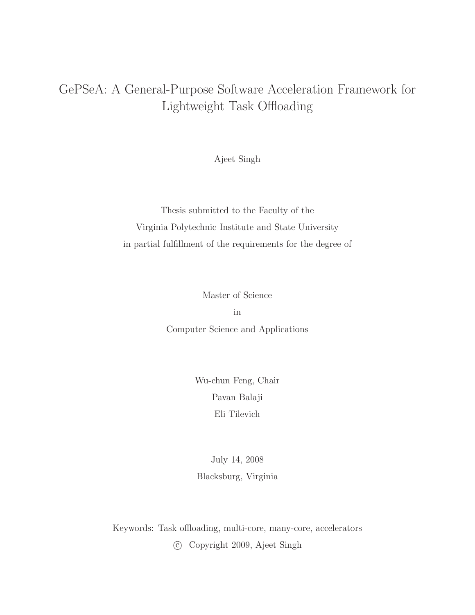## GePSeA: A General-Purpose Software Acceleration Framework for Lightweight Task Offloading

Ajeet Singh

Thesis submitted to the Faculty of the Virginia Polytechnic Institute and State University in partial fulfillment of the requirements for the degree of

Master of Science

in Computer Science and Applications

> Wu-chun Feng, Chair Pavan Balaji Eli Tilevich

July 14, 2008 Blacksburg, Virginia

Keywords: Task offloading, multi-core, many-core, accelerators

c Copyright 2009, Ajeet Singh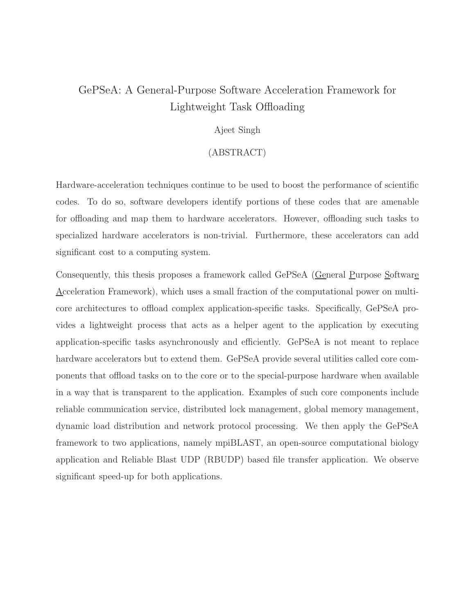## GePSeA: A General-Purpose Software Acceleration Framework for Lightweight Task Offloading

#### Ajeet Singh

#### (ABSTRACT)

Hardware-acceleration techniques continue to be used to boost the performance of scientific codes. To do so, software developers identify portions of these codes that are amenable for offloading and map them to hardware accelerators. However, offloading such tasks to specialized hardware accelerators is non-trivial. Furthermore, these accelerators can add significant cost to a computing system.

Consequently, this thesis proposes a framework called GePSeA (General Purpose Software Acceleration Framework), which uses a small fraction of the computational power on multicore architectures to offload complex application-specific tasks. Specifically, GePSeA provides a lightweight process that acts as a helper agent to the application by executing application-specific tasks asynchronously and efficiently. GePSeA is not meant to replace hardware accelerators but to extend them. GePSeA provide several utilities called core components that offload tasks on to the core or to the special-purpose hardware when available in a way that is transparent to the application. Examples of such core components include reliable communication service, distributed lock management, global memory management, dynamic load distribution and network protocol processing. We then apply the GePSeA framework to two applications, namely mpiBLAST, an open-source computational biology application and Reliable Blast UDP (RBUDP) based file transfer application. We observe significant speed-up for both applications.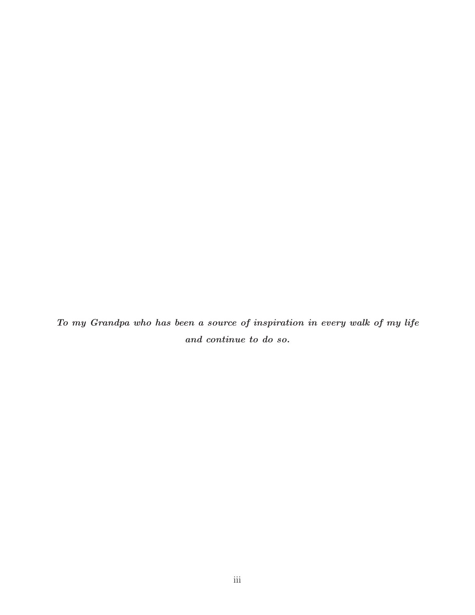To my Grandpa who has been a source of inspiration in every walk of my life and continue to do so.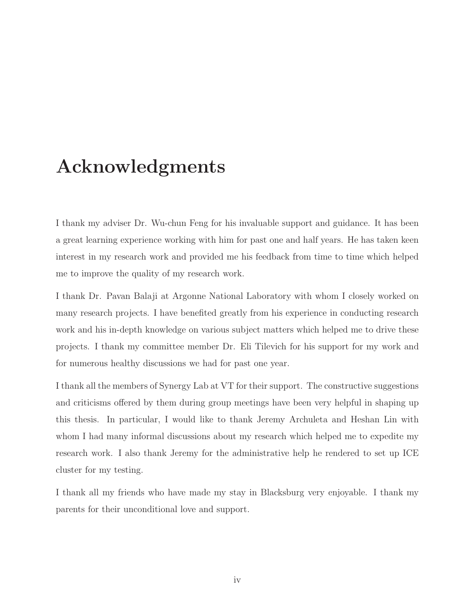## Acknowledgments

I thank my adviser Dr. Wu-chun Feng for his invaluable support and guidance. It has been a great learning experience working with him for past one and half years. He has taken keen interest in my research work and provided me his feedback from time to time which helped me to improve the quality of my research work.

I thank Dr. Pavan Balaji at Argonne National Laboratory with whom I closely worked on many research projects. I have benefited greatly from his experience in conducting research work and his in-depth knowledge on various subject matters which helped me to drive these projects. I thank my committee member Dr. Eli Tilevich for his support for my work and for numerous healthy discussions we had for past one year.

I thank all the members of Synergy Lab at VT for their support. The constructive suggestions and criticisms offered by them during group meetings have been very helpful in shaping up this thesis. In particular, I would like to thank Jeremy Archuleta and Heshan Lin with whom I had many informal discussions about my research which helped me to expedite my research work. I also thank Jeremy for the administrative help he rendered to set up ICE cluster for my testing.

I thank all my friends who have made my stay in Blacksburg very enjoyable. I thank my parents for their unconditional love and support.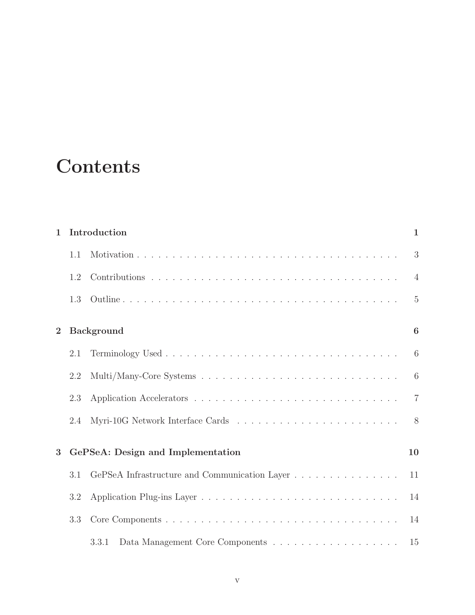## **Contents**

| $\mathbf{1}$   | Introduction                      |                                                                                      |                |  |  |
|----------------|-----------------------------------|--------------------------------------------------------------------------------------|----------------|--|--|
|                | 1.1                               |                                                                                      | 3              |  |  |
|                | 1.2                               |                                                                                      | $\overline{4}$ |  |  |
|                | 1.3                               |                                                                                      | $\overline{5}$ |  |  |
| $\overline{2}$ |                                   | <b>Background</b>                                                                    | 6              |  |  |
|                | 2.1                               |                                                                                      | 6              |  |  |
|                | 2.2                               |                                                                                      | 6              |  |  |
|                | 2.3                               |                                                                                      | $\overline{7}$ |  |  |
|                | 2.4                               |                                                                                      | 8              |  |  |
| 3              | GePSeA: Design and Implementation |                                                                                      |                |  |  |
|                | 3.1                               |                                                                                      | 11             |  |  |
|                | 3.2                               |                                                                                      | 14             |  |  |
|                | 3.3                               |                                                                                      | 14             |  |  |
|                |                                   | Data Management Core Components $\dots \dots \dots \dots \dots \dots \dots$<br>3.3.1 | 15             |  |  |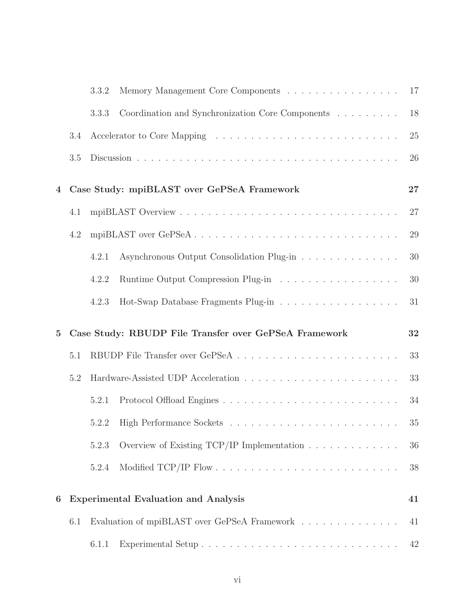|          |     | 3.3.2 | Memory Management Core Components                                                 | 17 |
|----------|-----|-------|-----------------------------------------------------------------------------------|----|
|          |     | 3.3.3 | Coordination and Synchronization Core Components                                  | 18 |
|          | 3.4 |       |                                                                                   | 25 |
|          | 3.5 |       |                                                                                   | 26 |
| 4        |     |       | Case Study: mpiBLAST over GePSeA Framework                                        | 27 |
|          | 4.1 |       |                                                                                   | 27 |
|          | 4.2 |       | mpiBLAST over GePSeA                                                              | 29 |
|          |     | 4.2.1 | Asynchronous Output Consolidation Plug-in                                         | 30 |
|          |     | 4.2.2 | Runtime Output Compression Plug-in                                                | 30 |
|          |     | 4.2.3 | Hot-Swap Database Fragments Plug-in                                               | 31 |
|          |     |       |                                                                                   |    |
| $\bf{5}$ |     |       | Case Study: RBUDP File Transfer over GePSeA Framework                             | 32 |
|          | 5.1 |       |                                                                                   | 33 |
|          | 5.2 |       |                                                                                   | 33 |
|          |     | 5.2.1 |                                                                                   | 34 |
|          |     | 5.2.2 |                                                                                   | 35 |
|          |     | 5.2.3 | Overview of Existing TCP/IP Implementation $\ldots \ldots \ldots \ldots$          | 36 |
|          |     | 5.2.4 |                                                                                   | 38 |
| 6        |     |       | <b>Experimental Evaluation and Analysis</b>                                       | 41 |
|          | 6.1 |       | Evaluation of mpiBLAST over GePSeA Framework $\ldots \ldots \ldots \ldots \ldots$ | 41 |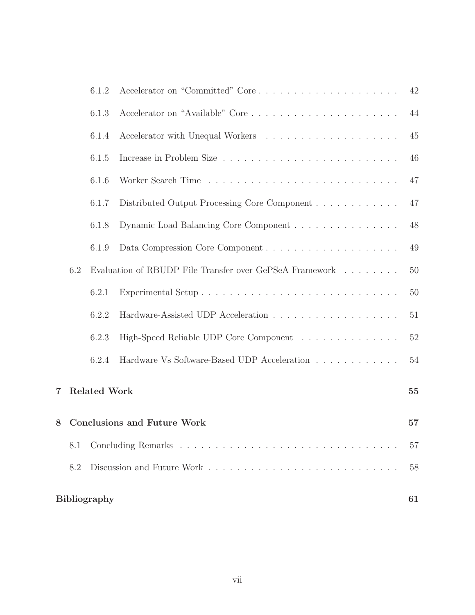|   |     | 6.1.2               |                                                                                | 42 |
|---|-----|---------------------|--------------------------------------------------------------------------------|----|
|   |     | 6.1.3               |                                                                                | 44 |
|   |     | 6.1.4               |                                                                                | 45 |
|   |     | 6.1.5               |                                                                                | 46 |
|   |     | 6.1.6               |                                                                                | 47 |
|   |     | 6.1.7               | Distributed Output Processing Core Component                                   | 47 |
|   |     | 6.1.8               | Dynamic Load Balancing Core Component                                          | 48 |
|   |     | 6.1.9               |                                                                                | 49 |
|   | 6.2 |                     | Evaluation of RBUDP File Transfer over GePSeA Framework $\ldots \ldots \ldots$ | 50 |
|   |     | 6.2.1               |                                                                                | 50 |
|   |     | 6.2.2               |                                                                                | 51 |
|   |     | 6.2.3               | High-Speed Reliable UDP Core Component                                         | 52 |
|   |     | 6.2.4               | Hardware Vs Software-Based UDP Acceleration                                    | 54 |
| 7 |     | <b>Related Work</b> |                                                                                | 55 |
| 8 |     |                     | <b>Conclusions and Future Work</b>                                             | 57 |
|   | 8.1 |                     |                                                                                | 57 |
|   | 8.2 |                     |                                                                                | 58 |
|   |     | <b>Bibliography</b> |                                                                                | 61 |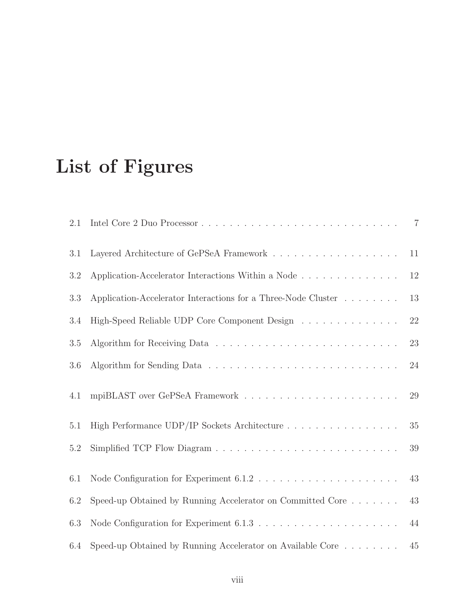# List of Figures

| 2.1     |                                                                                          | $\overline{7}$ |
|---------|------------------------------------------------------------------------------------------|----------------|
| 3.1     |                                                                                          | 11             |
| 3.2     |                                                                                          | $12\,$         |
| 3.3     | Application-Accelerator Interactions for a Three-Node Cluster                            | 13             |
| 3.4     | High-Speed Reliable UDP Core Component Design                                            | $22\,$         |
| 3.5     |                                                                                          | 23             |
| 3.6     |                                                                                          | 24             |
| 4.1     | mpiBLAST over GePSeA Framework $\ldots \ldots \ldots \ldots \ldots \ldots \ldots \ldots$ | 29             |
| 5.1     | High Performance UDP/IP Sockets Architecture                                             | 35             |
| $5.2\,$ |                                                                                          | 39             |
| 6.1     |                                                                                          | 43             |
| 6.2     | Speed-up Obtained by Running Accelerator on Committed Core                               | 43             |
| 6.3     |                                                                                          | 44             |
| 6.4     | Speed-up Obtained by Running Accelerator on Available Core $\dots \dots$                 | 45             |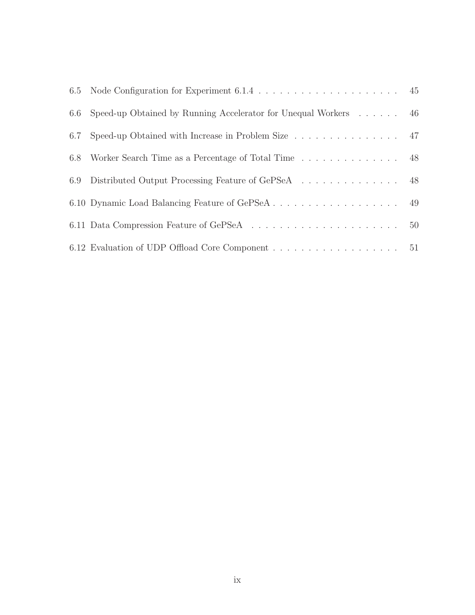| 6.6 Speed-up Obtained by Running Accelerator for Unequal Workers 46                                  |  |
|------------------------------------------------------------------------------------------------------|--|
| 6.7 Speed-up Obtained with Increase in Problem Size 47                                               |  |
| 6.8 Worker Search Time as a Percentage of Total Time 48                                              |  |
| 6.9 Distributed Output Processing Feature of GePSeA 48                                               |  |
|                                                                                                      |  |
| 6.11 Data Compression Feature of GePSeA $\ldots \ldots \ldots \ldots \ldots \ldots \ldots \ldots$ 50 |  |
| 6.12 Evaluation of UDP Offload Core Component 51                                                     |  |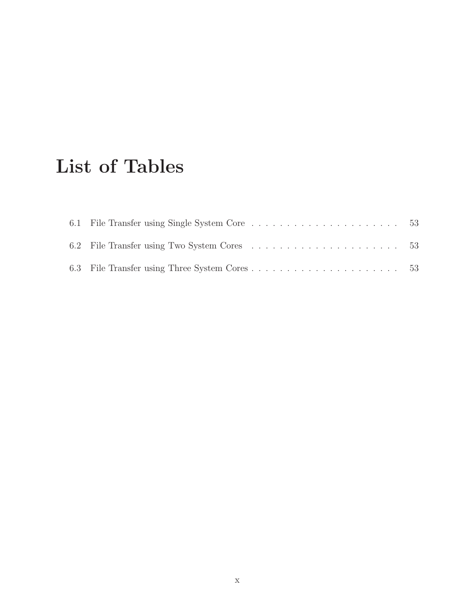## List of Tables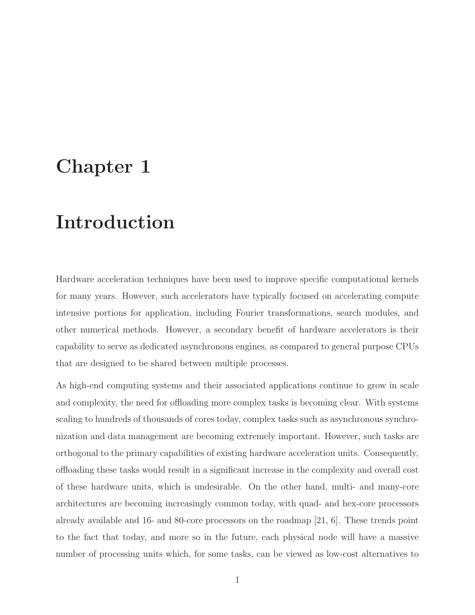## Chapter 1

## Introduction

Hardware acceleration techniques have been used to improve specific computational kernels for many years. However, such accelerators have typically focused on accelerating compute intensive portions for application, including Fourier transformations, search modules, and other numerical methods. However, a secondary benefit of hardware accelerators is their capability to serve as dedicated asynchronous engines, as compared to general purpose CPUs that are designed to be shared between multiple processes.

As high-end computing systems and their associated applications continue to grow in scale and complexity, the need for offloading more complex tasks is becoming clear. With systems scaling to hundreds of thousands of cores today, complex tasks such as asynchronous synchronization and data management are becoming extremely important. However, such tasks are orthogonal to the primary capabilities of existing hardware acceleration units. Consequently, offloading these tasks would result in a significant increase in the complexity and overall cost of these hardware units, which is undesirable. On the other hand, multi- and many-core architectures are becoming increasingly common today, with quad- and hex-core processors already available and 16- and 80-core processors on the roadmap [21, 6]. These trends point to the fact that today, and more so in the future, each physical node will have a massive number of processing units which, for some tasks, can be viewed as low-cost alternatives to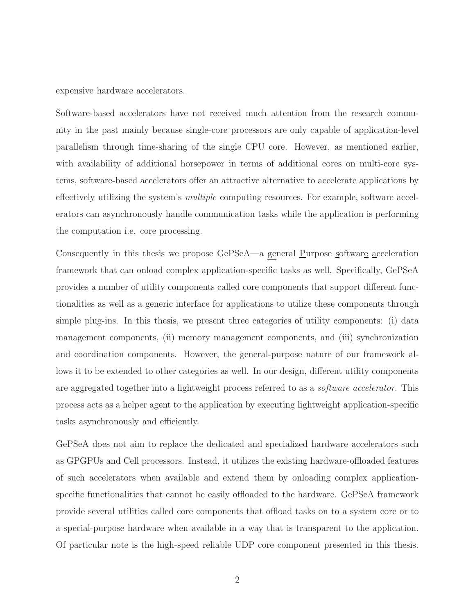expensive hardware accelerators.

Software-based accelerators have not received much attention from the research community in the past mainly because single-core processors are only capable of application-level parallelism through time-sharing of the single CPU core. However, as mentioned earlier, with availability of additional horsepower in terms of additional cores on multi-core systems, software-based accelerators offer an attractive alternative to accelerate applications by effectively utilizing the system's multiple computing resources. For example, software accelerators can asynchronously handle communication tasks while the application is performing the computation i.e. core processing.

Consequently in this thesis we propose GePSeA—a general Purpose software acceleration framework that can onload complex application-specific tasks as well. Specifically, GePSeA provides a number of utility components called core components that support different functionalities as well as a generic interface for applications to utilize these components through simple plug-ins. In this thesis, we present three categories of utility components: (i) data management components, (ii) memory management components, and (iii) synchronization and coordination components. However, the general-purpose nature of our framework allows it to be extended to other categories as well. In our design, different utility components are aggregated together into a lightweight process referred to as a software accelerator. This process acts as a helper agent to the application by executing lightweight application-specific tasks asynchronously and efficiently.

GePSeA does not aim to replace the dedicated and specialized hardware accelerators such as GPGPUs and Cell processors. Instead, it utilizes the existing hardware-offloaded features of such accelerators when available and extend them by onloading complex applicationspecific functionalities that cannot be easily offloaded to the hardware. GePSeA framework provide several utilities called core components that offload tasks on to a system core or to a special-purpose hardware when available in a way that is transparent to the application. Of particular note is the high-speed reliable UDP core component presented in this thesis.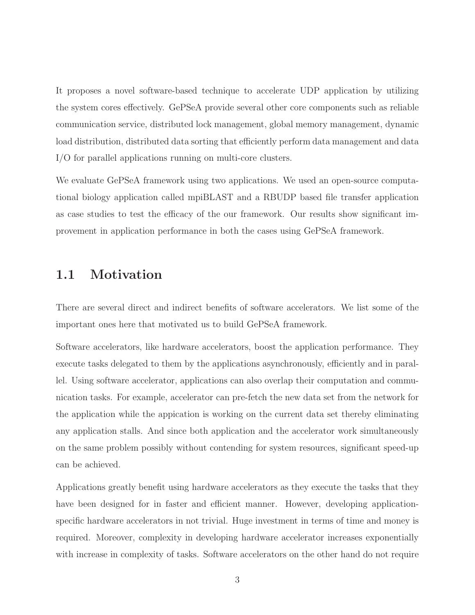It proposes a novel software-based technique to accelerate UDP application by utilizing the system cores effectively. GePSeA provide several other core components such as reliable communication service, distributed lock management, global memory management, dynamic load distribution, distributed data sorting that efficiently perform data management and data I/O for parallel applications running on multi-core clusters.

We evaluate GePSeA framework using two applications. We used an open-source computational biology application called mpiBLAST and a RBUDP based file transfer application as case studies to test the efficacy of the our framework. Our results show significant improvement in application performance in both the cases using GePSeA framework.

### 1.1 Motivation

There are several direct and indirect benefits of software accelerators. We list some of the important ones here that motivated us to build GePSeA framework.

Software accelerators, like hardware accelerators, boost the application performance. They execute tasks delegated to them by the applications asynchronously, efficiently and in parallel. Using software accelerator, applications can also overlap their computation and communication tasks. For example, accelerator can pre-fetch the new data set from the network for the application while the appication is working on the current data set thereby eliminating any application stalls. And since both application and the accelerator work simultaneously on the same problem possibly without contending for system resources, significant speed-up can be achieved.

Applications greatly benefit using hardware accelerators as they execute the tasks that they have been designed for in faster and efficient manner. However, developing applicationspecific hardware accelerators in not trivial. Huge investment in terms of time and money is required. Moreover, complexity in developing hardware accelerator increases exponentially with increase in complexity of tasks. Software accelerators on the other hand do not require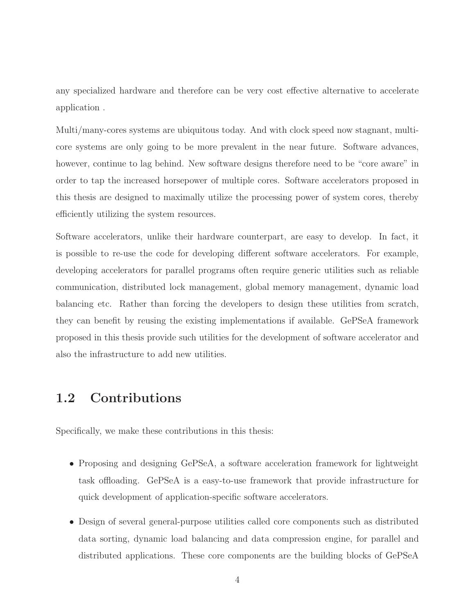any specialized hardware and therefore can be very cost effective alternative to accelerate application .

Multi/many-cores systems are ubiquitous today. And with clock speed now stagnant, multicore systems are only going to be more prevalent in the near future. Software advances, however, continue to lag behind. New software designs therefore need to be "core aware" in order to tap the increased horsepower of multiple cores. Software accelerators proposed in this thesis are designed to maximally utilize the processing power of system cores, thereby efficiently utilizing the system resources.

Software accelerators, unlike their hardware counterpart, are easy to develop. In fact, it is possible to re-use the code for developing different software accelerators. For example, developing accelerators for parallel programs often require generic utilities such as reliable communication, distributed lock management, global memory management, dynamic load balancing etc. Rather than forcing the developers to design these utilities from scratch, they can benefit by reusing the existing implementations if available. GePSeA framework proposed in this thesis provide such utilities for the development of software accelerator and also the infrastructure to add new utilities.

## 1.2 Contributions

Specifically, we make these contributions in this thesis:

- Proposing and designing GePSeA, a software acceleration framework for lightweight task offloading. GePSeA is a easy-to-use framework that provide infrastructure for quick development of application-specific software accelerators.
- Design of several general-purpose utilities called core components such as distributed data sorting, dynamic load balancing and data compression engine, for parallel and distributed applications. These core components are the building blocks of GePSeA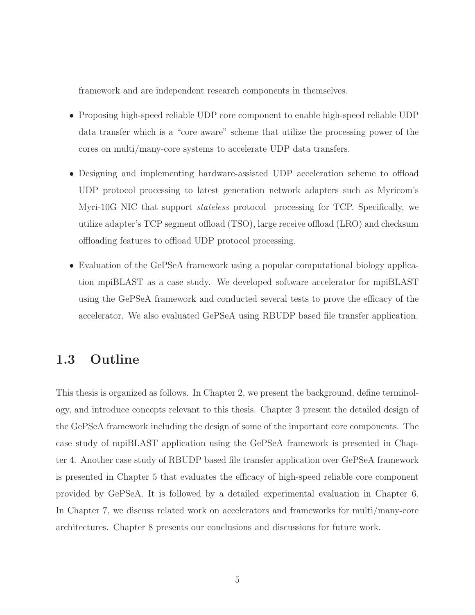framework and are independent research components in themselves.

- Proposing high-speed reliable UDP core component to enable high-speed reliable UDP data transfer which is a "core aware" scheme that utilize the processing power of the cores on multi/many-core systems to accelerate UDP data transfers.
- Designing and implementing hardware-assisted UDP acceleration scheme to offload UDP protocol processing to latest generation network adapters such as Myricom's Myri-10G NIC that support stateless protocol processing for TCP. Specifically, we utilize adapter's TCP segment offload (TSO), large receive offload (LRO) and checksum offloading features to offload UDP protocol processing.
- Evaluation of the GePSeA framework using a popular computational biology application mpiBLAST as a case study. We developed software accelerator for mpiBLAST using the GePSeA framework and conducted several tests to prove the efficacy of the accelerator. We also evaluated GePSeA using RBUDP based file transfer application.

## 1.3 Outline

This thesis is organized as follows. In Chapter 2, we present the background, define terminology, and introduce concepts relevant to this thesis. Chapter 3 present the detailed design of the GePSeA framework including the design of some of the important core components. The case study of mpiBLAST application using the GePSeA framework is presented in Chapter 4. Another case study of RBUDP based file transfer application over GePSeA framework is presented in Chapter 5 that evaluates the efficacy of high-speed reliable core component provided by GePSeA. It is followed by a detailed experimental evaluation in Chapter 6. In Chapter 7, we discuss related work on accelerators and frameworks for multi/many-core architectures. Chapter 8 presents our conclusions and discussions for future work.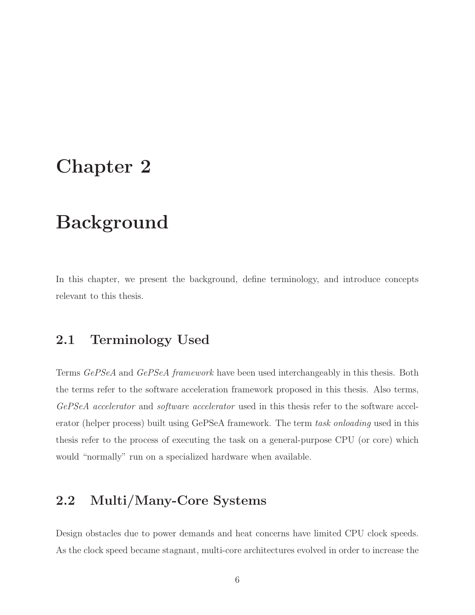## Chapter 2

## Background

In this chapter, we present the background, define terminology, and introduce concepts relevant to this thesis.

## 2.1 Terminology Used

Terms GePSeA and GePSeA framework have been used interchangeably in this thesis. Both the terms refer to the software acceleration framework proposed in this thesis. Also terms, GePSeA accelerator and software accelerator used in this thesis refer to the software accelerator (helper process) built using GePSeA framework. The term task onloading used in this thesis refer to the process of executing the task on a general-purpose CPU (or core) which would "normally" run on a specialized hardware when available.

## 2.2 Multi/Many-Core Systems

Design obstacles due to power demands and heat concerns have limited CPU clock speeds. As the clock speed became stagnant, multi-core architectures evolved in order to increase the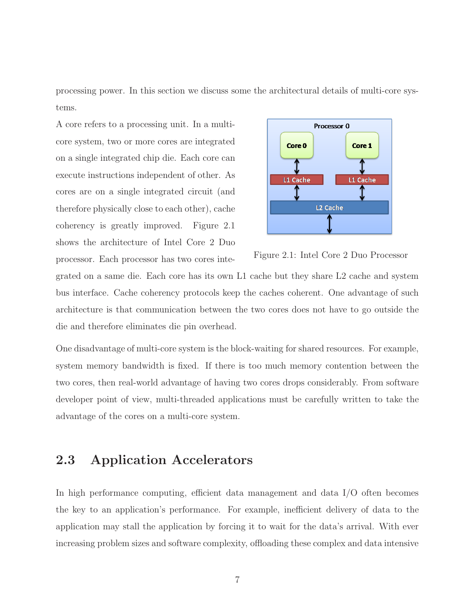processing power. In this section we discuss some the architectural details of multi-core systems.

A core refers to a processing unit. In a multicore system, two or more cores are integrated on a single integrated chip die. Each core can execute instructions independent of other. As cores are on a single integrated circuit (and therefore physically close to each other), cache coherency is greatly improved. Figure 2.1 shows the architecture of Intel Core 2 Duo processor. Each processor has two cores inte-



Figure 2.1: Intel Core 2 Duo Processor

grated on a same die. Each core has its own L1 cache but they share L2 cache and system bus interface. Cache coherency protocols keep the caches coherent. One advantage of such architecture is that communication between the two cores does not have to go outside the die and therefore eliminates die pin overhead.

One disadvantage of multi-core system is the block-waiting for shared resources. For example, system memory bandwidth is fixed. If there is too much memory contention between the two cores, then real-world advantage of having two cores drops considerably. From software developer point of view, multi-threaded applications must be carefully written to take the advantage of the cores on a multi-core system.

### 2.3 Application Accelerators

In high performance computing, efficient data management and data I/O often becomes the key to an application's performance. For example, inefficient delivery of data to the application may stall the application by forcing it to wait for the data's arrival. With ever increasing problem sizes and software complexity, offloading these complex and data intensive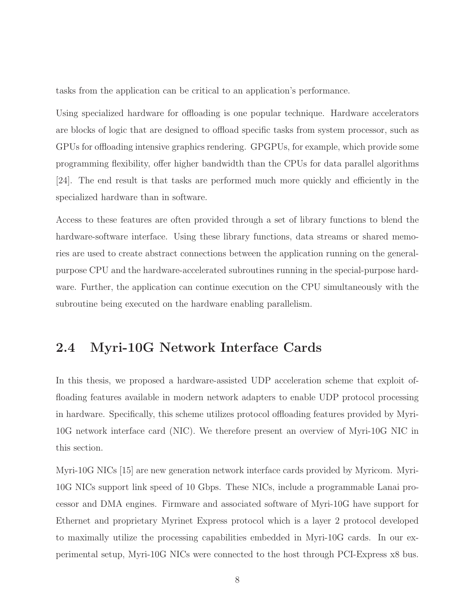tasks from the application can be critical to an application's performance.

Using specialized hardware for offloading is one popular technique. Hardware accelerators are blocks of logic that are designed to offload specific tasks from system processor, such as GPUs for offloading intensive graphics rendering. GPGPUs, for example, which provide some programming flexibility, offer higher bandwidth than the CPUs for data parallel algorithms [24]. The end result is that tasks are performed much more quickly and efficiently in the specialized hardware than in software.

Access to these features are often provided through a set of library functions to blend the hardware-software interface. Using these library functions, data streams or shared memories are used to create abstract connections between the application running on the generalpurpose CPU and the hardware-accelerated subroutines running in the special-purpose hardware. Further, the application can continue execution on the CPU simultaneously with the subroutine being executed on the hardware enabling parallelism.

## 2.4 Myri-10G Network Interface Cards

In this thesis, we proposed a hardware-assisted UDP acceleration scheme that exploit offloading features available in modern network adapters to enable UDP protocol processing in hardware. Specifically, this scheme utilizes protocol offloading features provided by Myri-10G network interface card (NIC). We therefore present an overview of Myri-10G NIC in this section.

Myri-10G NICs [15] are new generation network interface cards provided by Myricom. Myri-10G NICs support link speed of 10 Gbps. These NICs, include a programmable Lanai processor and DMA engines. Firmware and associated software of Myri-10G have support for Ethernet and proprietary Myrinet Express protocol which is a layer 2 protocol developed to maximally utilize the processing capabilities embedded in Myri-10G cards. In our experimental setup, Myri-10G NICs were connected to the host through PCI-Express x8 bus.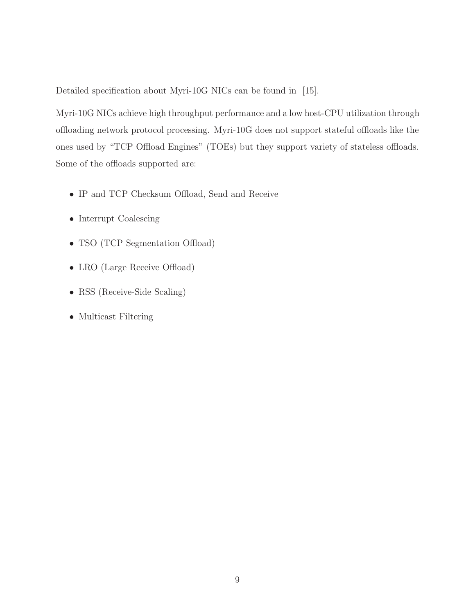Detailed specification about Myri-10G NICs can be found in [15].

Myri-10G NICs achieve high throughput performance and a low host-CPU utilization through offloading network protocol processing. Myri-10G does not support stateful offloads like the ones used by "TCP Offload Engines" (TOEs) but they support variety of stateless offloads. Some of the offloads supported are:

- IP and TCP Checksum Offload, Send and Receive
- Interrupt Coalescing
- TSO (TCP Segmentation Offload)
- LRO (Large Receive Offload)
- RSS (Receive-Side Scaling)
- Multicast Filtering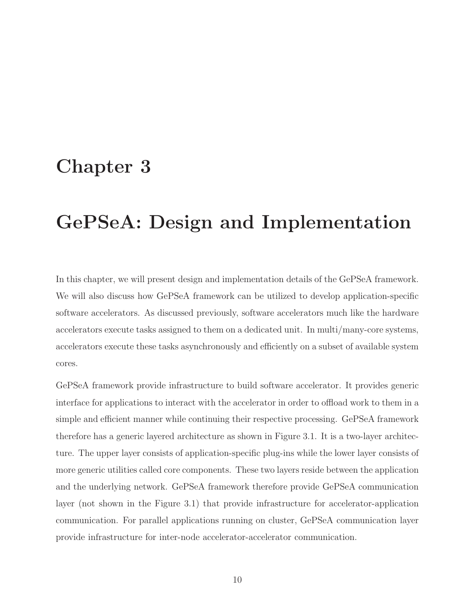## Chapter 3

## GePSeA: Design and Implementation

In this chapter, we will present design and implementation details of the GePSeA framework. We will also discuss how GePSeA framework can be utilized to develop application-specific software accelerators. As discussed previously, software accelerators much like the hardware accelerators execute tasks assigned to them on a dedicated unit. In multi/many-core systems, accelerators execute these tasks asynchronously and efficiently on a subset of available system cores.

GePSeA framework provide infrastructure to build software accelerator. It provides generic interface for applications to interact with the accelerator in order to offload work to them in a simple and efficient manner while continuing their respective processing. GePSeA framework therefore has a generic layered architecture as shown in Figure 3.1. It is a two-layer architecture. The upper layer consists of application-specific plug-ins while the lower layer consists of more generic utilities called core components. These two layers reside between the application and the underlying network. GePSeA framework therefore provide GePSeA communication layer (not shown in the Figure 3.1) that provide infrastructure for accelerator-application communication. For parallel applications running on cluster, GePSeA communication layer provide infrastructure for inter-node accelerator-accelerator communication.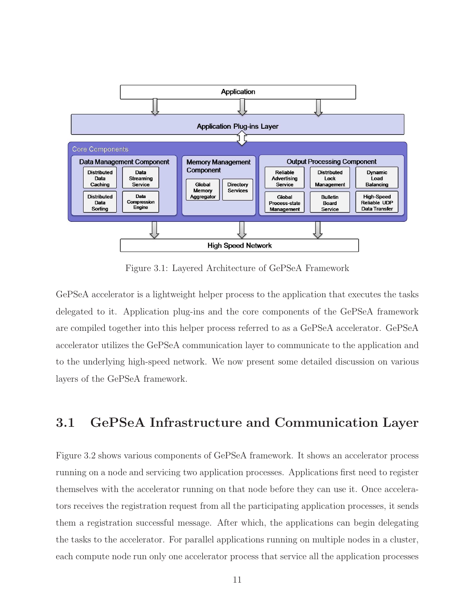

Figure 3.1: Layered Architecture of GePSeA Framework

GePSeA accelerator is a lightweight helper process to the application that executes the tasks delegated to it. Application plug-ins and the core components of the GePSeA framework are compiled together into this helper process referred to as a GePSeA accelerator. GePSeA accelerator utilizes the GePSeA communication layer to communicate to the application and to the underlying high-speed network. We now present some detailed discussion on various layers of the GePSeA framework.

### 3.1 GePSeA Infrastructure and Communication Layer

Figure 3.2 shows various components of GePSeA framework. It shows an accelerator process running on a node and servicing two application processes. Applications first need to register themselves with the accelerator running on that node before they can use it. Once accelerators receives the registration request from all the participating application processes, it sends them a registration successful message. After which, the applications can begin delegating the tasks to the accelerator. For parallel applications running on multiple nodes in a cluster, each compute node run only one accelerator process that service all the application processes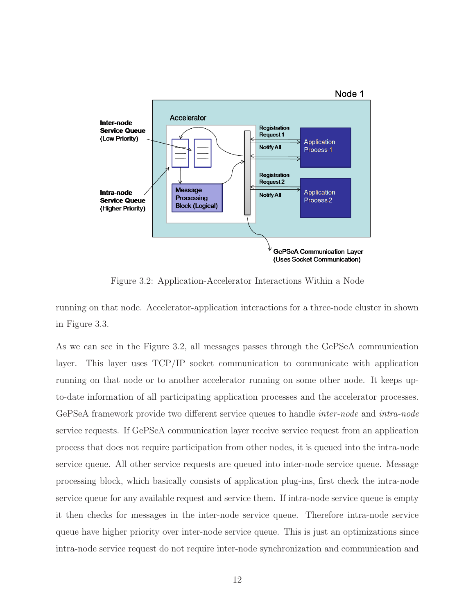

Figure 3.2: Application-Accelerator Interactions Within a Node

running on that node. Accelerator-application interactions for a three-node cluster in shown in Figure 3.3.

As we can see in the Figure 3.2, all messages passes through the GePSeA communication layer. This layer uses TCP/IP socket communication to communicate with application running on that node or to another accelerator running on some other node. It keeps upto-date information of all participating application processes and the accelerator processes. GePSeA framework provide two different service queues to handle inter-node and intra-node service requests. If GePSeA communication layer receive service request from an application process that does not require participation from other nodes, it is queued into the intra-node service queue. All other service requests are queued into inter-node service queue. Message processing block, which basically consists of application plug-ins, first check the intra-node service queue for any available request and service them. If intra-node service queue is empty it then checks for messages in the inter-node service queue. Therefore intra-node service queue have higher priority over inter-node service queue. This is just an optimizations since intra-node service request do not require inter-node synchronization and communication and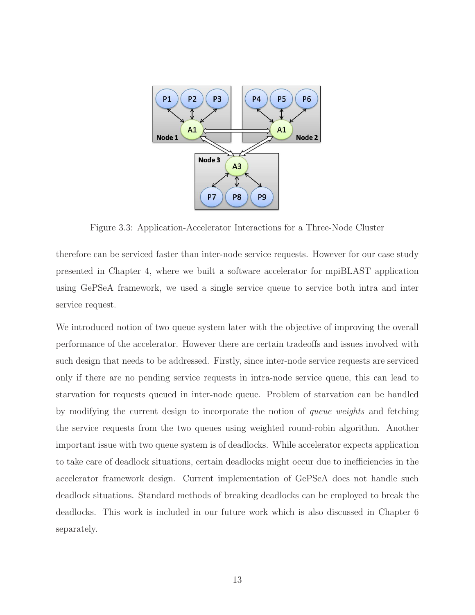

Figure 3.3: Application-Accelerator Interactions for a Three-Node Cluster

therefore can be serviced faster than inter-node service requests. However for our case study presented in Chapter 4, where we built a software accelerator for mpiBLAST application using GePSeA framework, we used a single service queue to service both intra and inter service request.

We introduced notion of two queue system later with the objective of improving the overall performance of the accelerator. However there are certain tradeoffs and issues involved with such design that needs to be addressed. Firstly, since inter-node service requests are serviced only if there are no pending service requests in intra-node service queue, this can lead to starvation for requests queued in inter-node queue. Problem of starvation can be handled by modifying the current design to incorporate the notion of queue weights and fetching the service requests from the two queues using weighted round-robin algorithm. Another important issue with two queue system is of deadlocks. While accelerator expects application to take care of deadlock situations, certain deadlocks might occur due to inefficiencies in the accelerator framework design. Current implementation of GePSeA does not handle such deadlock situations. Standard methods of breaking deadlocks can be employed to break the deadlocks. This work is included in our future work which is also discussed in Chapter 6 separately.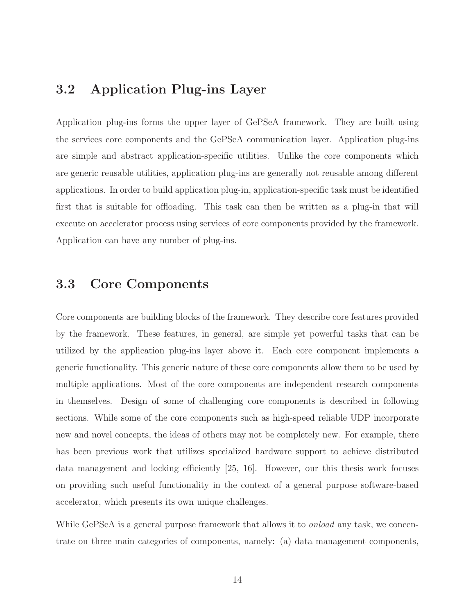### 3.2 Application Plug-ins Layer

Application plug-ins forms the upper layer of GePSeA framework. They are built using the services core components and the GePSeA communication layer. Application plug-ins are simple and abstract application-specific utilities. Unlike the core components which are generic reusable utilities, application plug-ins are generally not reusable among different applications. In order to build application plug-in, application-specific task must be identified first that is suitable for offloading. This task can then be written as a plug-in that will execute on accelerator process using services of core components provided by the framework. Application can have any number of plug-ins.

### 3.3 Core Components

Core components are building blocks of the framework. They describe core features provided by the framework. These features, in general, are simple yet powerful tasks that can be utilized by the application plug-ins layer above it. Each core component implements a generic functionality. This generic nature of these core components allow them to be used by multiple applications. Most of the core components are independent research components in themselves. Design of some of challenging core components is described in following sections. While some of the core components such as high-speed reliable UDP incorporate new and novel concepts, the ideas of others may not be completely new. For example, there has been previous work that utilizes specialized hardware support to achieve distributed data management and locking efficiently [25, 16]. However, our this thesis work focuses on providing such useful functionality in the context of a general purpose software-based accelerator, which presents its own unique challenges.

While GePSeA is a general purpose framework that allows it to *onload* any task, we concentrate on three main categories of components, namely: (a) data management components,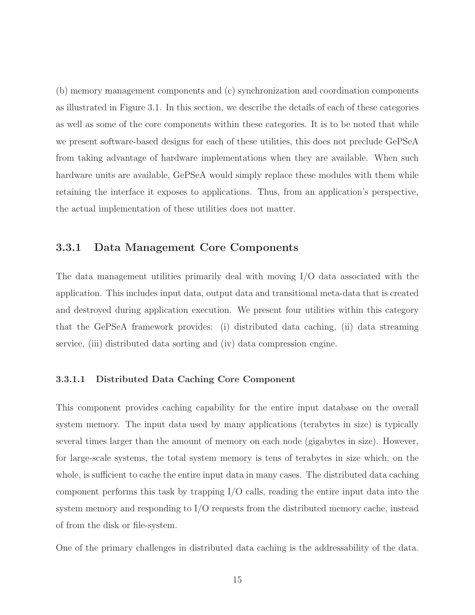(b) memory management components and (c) synchronization and coordination components as illustrated in Figure 3.1. In this section, we describe the details of each of these categories as well as some of the core components within these categories. It is to be noted that while we present software-based designs for each of these utilities, this does not preclude GePSeA from taking advantage of hardware implementations when they are available. When such hardware units are available, GePSeA would simply replace these modules with them while retaining the interface it exposes to applications. Thus, from an application's perspective, the actual implementation of these utilities does not matter.

### 3.3.1 Data Management Core Components

The data management utilities primarily deal with moving I/O data associated with the application. This includes input data, output data and transitional meta-data that is created and destroyed during application execution. We present four utilities within this category that the GePSeA framework provides: (i) distributed data caching, (ii) data streaming service, (iii) distributed data sorting and (iv) data compression engine.

#### 3.3.1.1 Distributed Data Caching Core Component

This component provides caching capability for the entire input database on the overall system memory. The input data used by many applications (terabytes in size) is typically several times larger than the amount of memory on each node (gigabytes in size). However, for large-scale systems, the total system memory is tens of terabytes in size which, on the whole, is sufficient to cache the entire input data in many cases. The distributed data caching component performs this task by trapping I/O calls, reading the entire input data into the system memory and responding to I/O requests from the distributed memory cache, instead of from the disk or file-system.

One of the primary challenges in distributed data caching is the addressability of the data.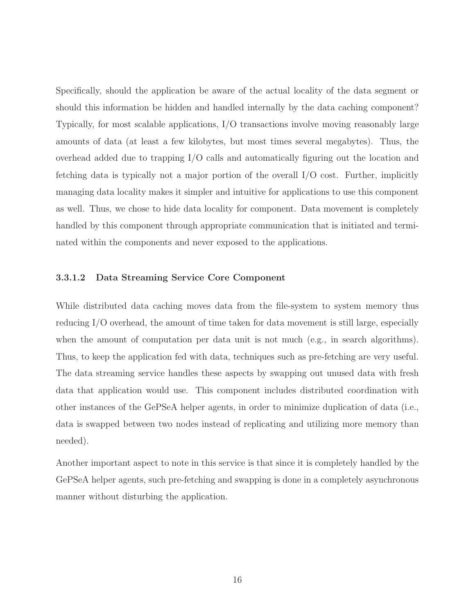Specifically, should the application be aware of the actual locality of the data segment or should this information be hidden and handled internally by the data caching component? Typically, for most scalable applications, I/O transactions involve moving reasonably large amounts of data (at least a few kilobytes, but most times several megabytes). Thus, the overhead added due to trapping I/O calls and automatically figuring out the location and fetching data is typically not a major portion of the overall I/O cost. Further, implicitly managing data locality makes it simpler and intuitive for applications to use this component as well. Thus, we chose to hide data locality for component. Data movement is completely handled by this component through appropriate communication that is initiated and terminated within the components and never exposed to the applications.

#### 3.3.1.2 Data Streaming Service Core Component

While distributed data caching moves data from the file-system to system memory thus reducing I/O overhead, the amount of time taken for data movement is still large, especially when the amount of computation per data unit is not much (e.g., in search algorithms). Thus, to keep the application fed with data, techniques such as pre-fetching are very useful. The data streaming service handles these aspects by swapping out unused data with fresh data that application would use. This component includes distributed coordination with other instances of the GePSeA helper agents, in order to minimize duplication of data (i.e., data is swapped between two nodes instead of replicating and utilizing more memory than needed).

Another important aspect to note in this service is that since it is completely handled by the GePSeA helper agents, such pre-fetching and swapping is done in a completely asynchronous manner without disturbing the application.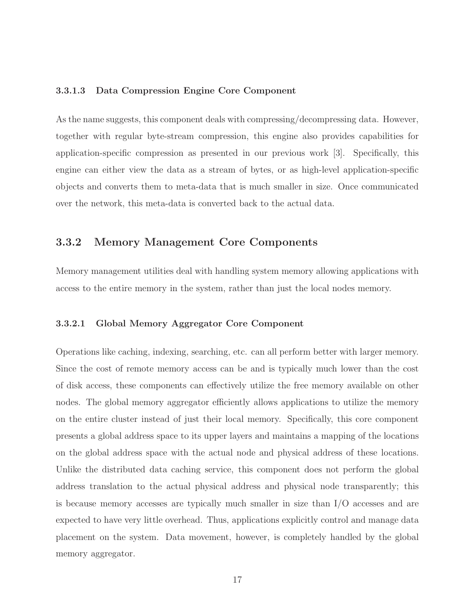#### 3.3.1.3 Data Compression Engine Core Component

As the name suggests, this component deals with compressing/decompressing data. However, together with regular byte-stream compression, this engine also provides capabilities for application-specific compression as presented in our previous work [3]. Specifically, this engine can either view the data as a stream of bytes, or as high-level application-specific objects and converts them to meta-data that is much smaller in size. Once communicated over the network, this meta-data is converted back to the actual data.

### 3.3.2 Memory Management Core Components

Memory management utilities deal with handling system memory allowing applications with access to the entire memory in the system, rather than just the local nodes memory.

#### 3.3.2.1 Global Memory Aggregator Core Component

Operations like caching, indexing, searching, etc. can all perform better with larger memory. Since the cost of remote memory access can be and is typically much lower than the cost of disk access, these components can effectively utilize the free memory available on other nodes. The global memory aggregator efficiently allows applications to utilize the memory on the entire cluster instead of just their local memory. Specifically, this core component presents a global address space to its upper layers and maintains a mapping of the locations on the global address space with the actual node and physical address of these locations. Unlike the distributed data caching service, this component does not perform the global address translation to the actual physical address and physical node transparently; this is because memory accesses are typically much smaller in size than I/O accesses and are expected to have very little overhead. Thus, applications explicitly control and manage data placement on the system. Data movement, however, is completely handled by the global memory aggregator.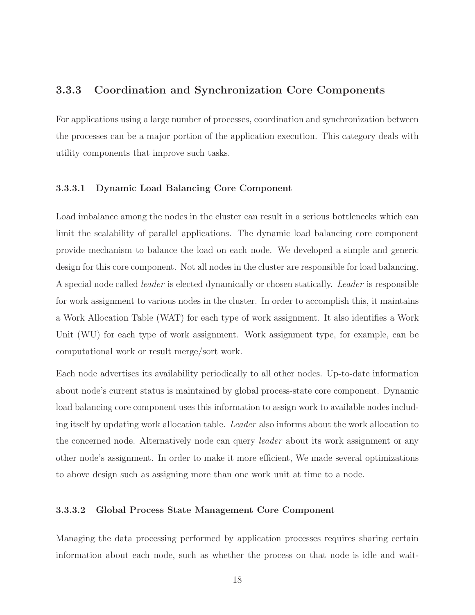### 3.3.3 Coordination and Synchronization Core Components

For applications using a large number of processes, coordination and synchronization between the processes can be a major portion of the application execution. This category deals with utility components that improve such tasks.

#### 3.3.3.1 Dynamic Load Balancing Core Component

Load imbalance among the nodes in the cluster can result in a serious bottlenecks which can limit the scalability of parallel applications. The dynamic load balancing core component provide mechanism to balance the load on each node. We developed a simple and generic design for this core component. Not all nodes in the cluster are responsible for load balancing. A special node called leader is elected dynamically or chosen statically. Leader is responsible for work assignment to various nodes in the cluster. In order to accomplish this, it maintains a Work Allocation Table (WAT) for each type of work assignment. It also identifies a Work Unit (WU) for each type of work assignment. Work assignment type, for example, can be computational work or result merge/sort work.

Each node advertises its availability periodically to all other nodes. Up-to-date information about node's current status is maintained by global process-state core component. Dynamic load balancing core component uses this information to assign work to available nodes including itself by updating work allocation table. Leader also informs about the work allocation to the concerned node. Alternatively node can query leader about its work assignment or any other node's assignment. In order to make it more efficient, We made several optimizations to above design such as assigning more than one work unit at time to a node.

#### 3.3.3.2 Global Process State Management Core Component

Managing the data processing performed by application processes requires sharing certain information about each node, such as whether the process on that node is idle and wait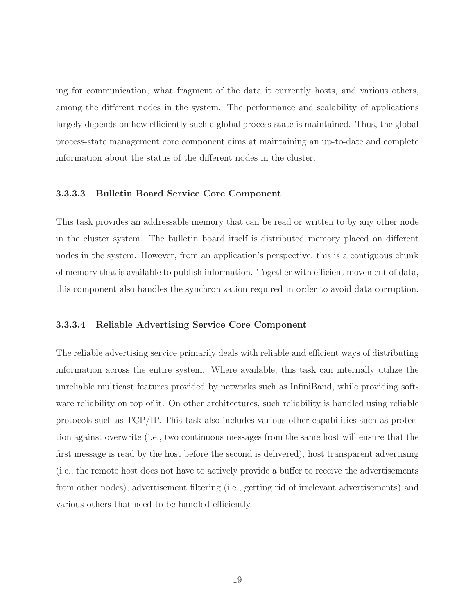ing for communication, what fragment of the data it currently hosts, and various others, among the different nodes in the system. The performance and scalability of applications largely depends on how efficiently such a global process-state is maintained. Thus, the global process-state management core component aims at maintaining an up-to-date and complete information about the status of the different nodes in the cluster.

#### 3.3.3.3 Bulletin Board Service Core Component

This task provides an addressable memory that can be read or written to by any other node in the cluster system. The bulletin board itself is distributed memory placed on different nodes in the system. However, from an application's perspective, this is a contiguous chunk of memory that is available to publish information. Together with efficient movement of data, this component also handles the synchronization required in order to avoid data corruption.

#### 3.3.3.4 Reliable Advertising Service Core Component

The reliable advertising service primarily deals with reliable and efficient ways of distributing information across the entire system. Where available, this task can internally utilize the unreliable multicast features provided by networks such as InfiniBand, while providing software reliability on top of it. On other architectures, such reliability is handled using reliable protocols such as TCP/IP. This task also includes various other capabilities such as protection against overwrite (i.e., two continuous messages from the same host will ensure that the first message is read by the host before the second is delivered), host transparent advertising (i.e., the remote host does not have to actively provide a buffer to receive the advertisements from other nodes), advertisement filtering (i.e., getting rid of irrelevant advertisements) and various others that need to be handled efficiently.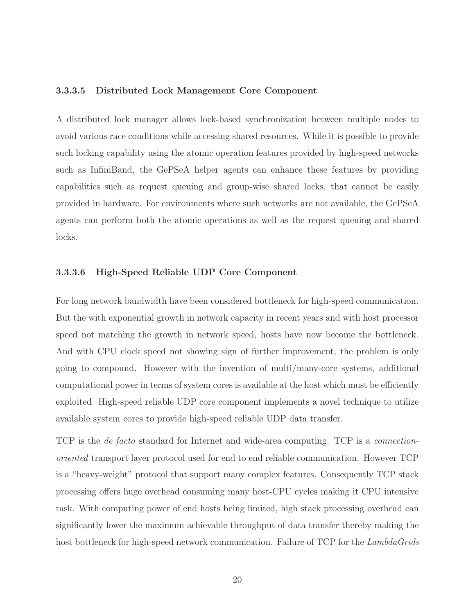#### 3.3.3.5 Distributed Lock Management Core Component

A distributed lock manager allows lock-based synchronization between multiple nodes to avoid various race conditions while accessing shared resources. While it is possible to provide such locking capability using the atomic operation features provided by high-speed networks such as InfiniBand, the GePSeA helper agents can enhance these features by providing capabilities such as request queuing and group-wise shared locks, that cannot be easily provided in hardware. For environments where such networks are not available, the GePSeA agents can perform both the atomic operations as well as the request queuing and shared locks.

#### 3.3.3.6 High-Speed Reliable UDP Core Component

For long network bandwidth have been considered bottleneck for high-speed communication. But the with exponential growth in network capacity in recent years and with host processor speed not matching the growth in network speed, hosts have now become the bottleneck. And with CPU clock speed not showing sign of further improvement, the problem is only going to compound. However with the invention of multi/many-core systems, additional computational power in terms of system cores is available at the host which must be efficiently exploited. High-speed reliable UDP core component implements a novel technique to utilize available system cores to provide high-speed reliable UDP data transfer.

TCP is the de facto standard for Internet and wide-area computing. TCP is a connectionoriented transport layer protocol used for end to end reliable communication. However TCP is a "heavy-weight" protocol that support many complex features. Consequently TCP stack processing offers huge overhead consuming many host-CPU cycles making it CPU intensive task. With computing power of end hosts being limited, high stack processing overhead can significantly lower the maximum achievable throughput of data transfer thereby making the host bottleneck for high-speed network communication. Failure of TCP for the LambdaGrids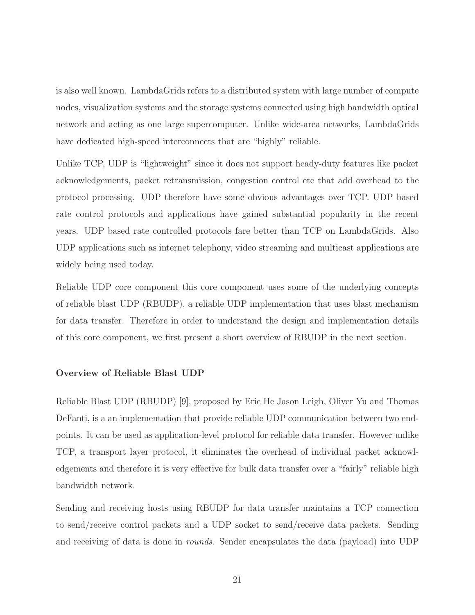is also well known. LambdaGrids refers to a distributed system with large number of compute nodes, visualization systems and the storage systems connected using high bandwidth optical network and acting as one large supercomputer. Unlike wide-area networks, LambdaGrids have dedicated high-speed interconnects that are "highly" reliable.

Unlike TCP, UDP is "lightweight" since it does not support heady-duty features like packet acknowledgements, packet retransmission, congestion control etc that add overhead to the protocol processing. UDP therefore have some obvious advantages over TCP. UDP based rate control protocols and applications have gained substantial popularity in the recent years. UDP based rate controlled protocols fare better than TCP on LambdaGrids. Also UDP applications such as internet telephony, video streaming and multicast applications are widely being used today.

Reliable UDP core component this core component uses some of the underlying concepts of reliable blast UDP (RBUDP), a reliable UDP implementation that uses blast mechanism for data transfer. Therefore in order to understand the design and implementation details of this core component, we first present a short overview of RBUDP in the next section.

#### Overview of Reliable Blast UDP

Reliable Blast UDP (RBUDP) [9], proposed by Eric He Jason Leigh, Oliver Yu and Thomas DeFanti, is a an implementation that provide reliable UDP communication between two endpoints. It can be used as application-level protocol for reliable data transfer. However unlike TCP, a transport layer protocol, it eliminates the overhead of individual packet acknowledgements and therefore it is very effective for bulk data transfer over a "fairly" reliable high bandwidth network.

Sending and receiving hosts using RBUDP for data transfer maintains a TCP connection to send/receive control packets and a UDP socket to send/receive data packets. Sending and receiving of data is done in rounds. Sender encapsulates the data (payload) into UDP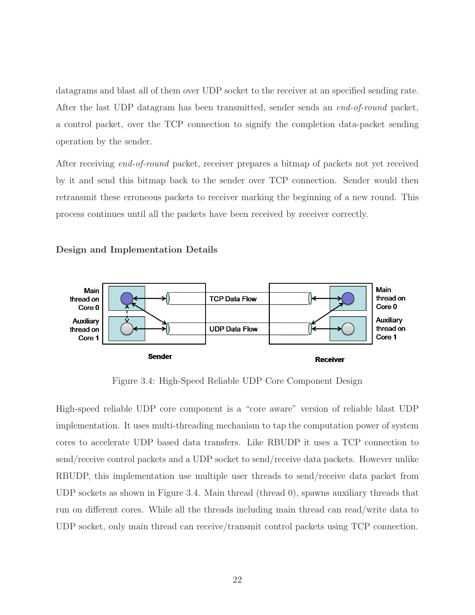datagrams and blast all of them over UDP socket to the receiver at an specified sending rate. After the last UDP datagram has been transmitted, sender sends an end-of-round packet, a control packet, over the TCP connection to signify the completion data-packet sending operation by the sender.

After receiving end-of-round packet, receiver prepares a bitmap of packets not yet received by it and send this bitmap back to the sender over TCP connection. Sender would then retransmit these erroneous packets to receiver marking the beginning of a new round. This process continues until all the packets have been received by receiver correctly.





Figure 3.4: High-Speed Reliable UDP Core Component Design

High-speed reliable UDP core component is a "core aware" version of reliable blast UDP implementation. It uses multi-threading mechanism to tap the computation power of system cores to accelerate UDP based data transfers. Like RBUDP it uses a TCP connection to send/receive control packets and a UDP socket to send/receive data packets. However unlike RBUDP, this implementation use multiple user threads to send/receive data packet from UDP sockets as shown in Figure 3.4. Main thread (thread 0), spawns auxiliary threads that run on different cores. While all the threads including main thread can read/write data to UDP socket, only main thread can receive/transmit control packets using TCP connection.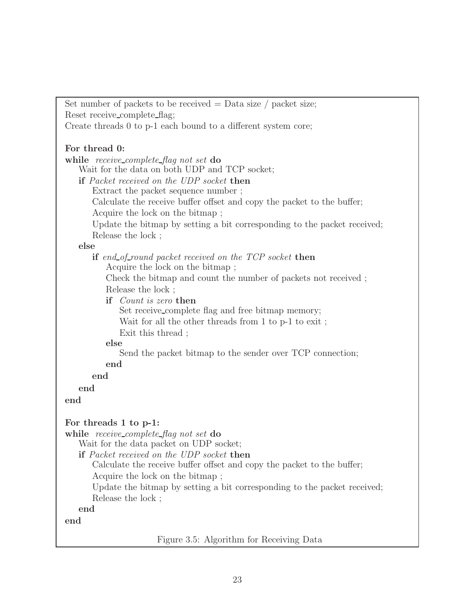Set number of packets to be received  $=$  Data size / packet size; Reset receive\_complete\_flag; Create threads 0 to p-1 each bound to a different system core; For thread 0: while receive\_complete\_flag not set do Wait for the data on both UDP and TCP socket; if Packet received on the UDP socket then Extract the packet sequence number ; Calculate the receive buffer offset and copy the packet to the buffer; Acquire the lock on the bitmap ; Update the bitmap by setting a bit corresponding to the packet received; Release the lock ; else if end of round packet received on the TCP socket then Acquire the lock on the bitmap ; Check the bitmap and count the number of packets not received ; Release the lock ; if Count is zero then Set receive complete flag and free bitmap memory; Wait for all the other threads from 1 to p-1 to exit ; Exit this thread ; else Send the packet bitmap to the sender over TCP connection; end end end end For threads 1 to p-1: while receive\_complete\_flag not set do Wait for the data packet on UDP socket; if Packet received on the UDP socket then Calculate the receive buffer offset and copy the packet to the buffer; Acquire the lock on the bitmap ; Update the bitmap by setting a bit corresponding to the packet received; Release the lock ; end end

Figure 3.5: Algorithm for Receiving Data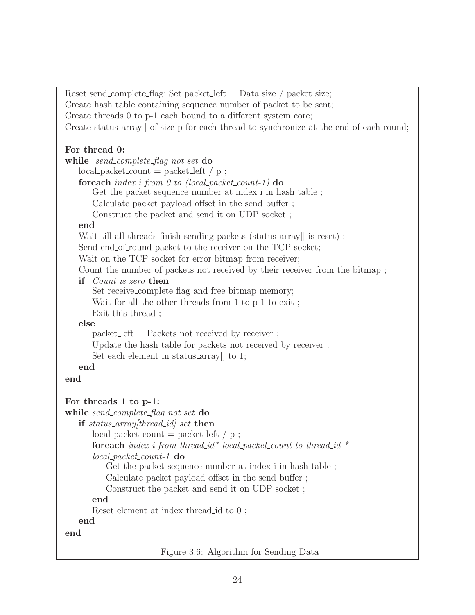```
Reset send_complete_flag; Set packet_left = Data size / packet size;
Create hash table containing sequence number of packet to be sent;
Create threads 0 to p-1 each bound to a different system core;
Create status array[] of size p for each thread to synchronize at the end of each round;
For thread 0:
while send_complete_flag not set do
   local packet_count = packet-left / p ;foreach index i from 0 to (local packet count-1) \bf{do}Get the packet sequence number at index i in hash table ;
      Calculate packet payload offset in the send buffer ;
      Construct the packet and send it on UDP socket ;
   end
   Wait till all threads finish sending packets (status_array is reset);
   Send end of round packet to the receiver on the TCP socket;
   Wait on the TCP socket for error bitmap from receiver;
   Count the number of packets not received by their receiver from the bitmap ;
   if Count is zero then
      Set receive_complete flag and free bitmap memory;
      Wait for all the other threads from 1 to p-1 to exit ;
      Exit this thread ;
   else
      packet left = Packets not received by receiver ;
      Update the hash table for packets not received by receiver ;
      Set each element in status array<sup>[]</sup> to 1;
   end
end
For threads 1 to p-1:
while send_complete_flag not set do
   if status_array[thread\_id] set then
      local packet_count = packet-left / p ;foreach index i from thread id^* local packet count to thread id *local packet count-1 do
          Get the packet sequence number at index i in hash table ;
          Calculate packet payload offset in the send buffer ;
          Construct the packet and send it on UDP socket ;
      end
      Reset element at index thread id to 0 ;
   end
end
```
Figure 3.6: Algorithm for Sending Data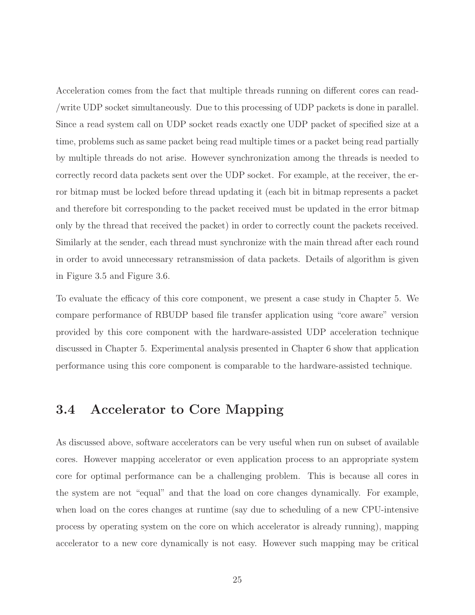Acceleration comes from the fact that multiple threads running on different cores can read- /write UDP socket simultaneously. Due to this processing of UDP packets is done in parallel. Since a read system call on UDP socket reads exactly one UDP packet of specified size at a time, problems such as same packet being read multiple times or a packet being read partially by multiple threads do not arise. However synchronization among the threads is needed to correctly record data packets sent over the UDP socket. For example, at the receiver, the error bitmap must be locked before thread updating it (each bit in bitmap represents a packet and therefore bit corresponding to the packet received must be updated in the error bitmap only by the thread that received the packet) in order to correctly count the packets received. Similarly at the sender, each thread must synchronize with the main thread after each round in order to avoid unnecessary retransmission of data packets. Details of algorithm is given in Figure 3.5 and Figure 3.6.

To evaluate the efficacy of this core component, we present a case study in Chapter 5. We compare performance of RBUDP based file transfer application using "core aware" version provided by this core component with the hardware-assisted UDP acceleration technique discussed in Chapter 5. Experimental analysis presented in Chapter 6 show that application performance using this core component is comparable to the hardware-assisted technique.

## 3.4 Accelerator to Core Mapping

As discussed above, software accelerators can be very useful when run on subset of available cores. However mapping accelerator or even application process to an appropriate system core for optimal performance can be a challenging problem. This is because all cores in the system are not "equal" and that the load on core changes dynamically. For example, when load on the cores changes at runtime (say due to scheduling of a new CPU-intensive process by operating system on the core on which accelerator is already running), mapping accelerator to a new core dynamically is not easy. However such mapping may be critical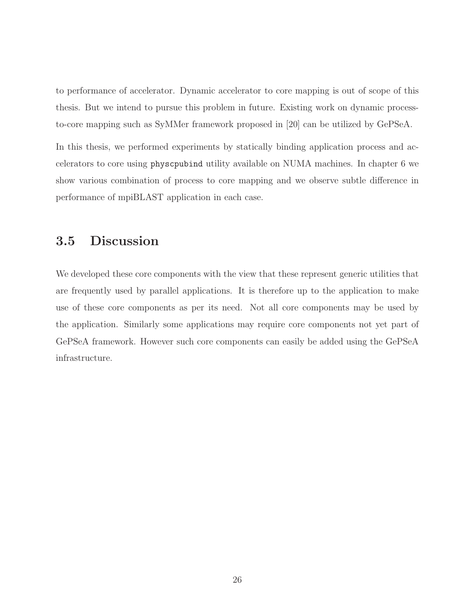to performance of accelerator. Dynamic accelerator to core mapping is out of scope of this thesis. But we intend to pursue this problem in future. Existing work on dynamic processto-core mapping such as SyMMer framework proposed in [20] can be utilized by GePSeA.

In this thesis, we performed experiments by statically binding application process and accelerators to core using physcpubind utility available on NUMA machines. In chapter 6 we show various combination of process to core mapping and we observe subtle difference in performance of mpiBLAST application in each case.

### 3.5 Discussion

We developed these core components with the view that these represent generic utilities that are frequently used by parallel applications. It is therefore up to the application to make use of these core components as per its need. Not all core components may be used by the application. Similarly some applications may require core components not yet part of GePSeA framework. However such core components can easily be added using the GePSeA infrastructure.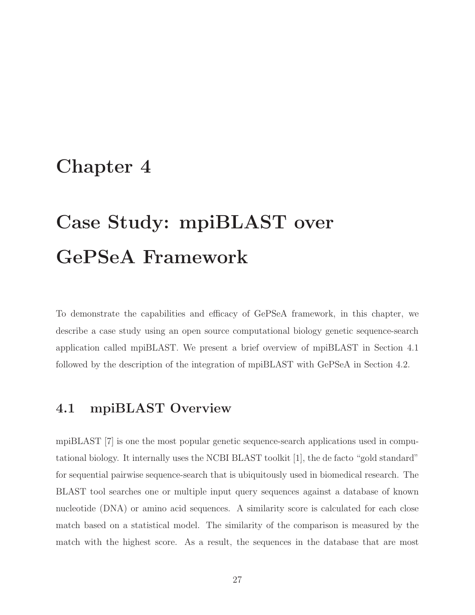## Chapter 4

# Case Study: mpiBLAST over GePSeA Framework

To demonstrate the capabilities and efficacy of GePSeA framework, in this chapter, we describe a case study using an open source computational biology genetic sequence-search application called mpiBLAST. We present a brief overview of mpiBLAST in Section 4.1 followed by the description of the integration of mpiBLAST with GePSeA in Section 4.2.

### 4.1 mpiBLAST Overview

mpiBLAST [7] is one the most popular genetic sequence-search applications used in computational biology. It internally uses the NCBI BLAST toolkit [1], the de facto "gold standard" for sequential pairwise sequence-search that is ubiquitously used in biomedical research. The BLAST tool searches one or multiple input query sequences against a database of known nucleotide (DNA) or amino acid sequences. A similarity score is calculated for each close match based on a statistical model. The similarity of the comparison is measured by the match with the highest score. As a result, the sequences in the database that are most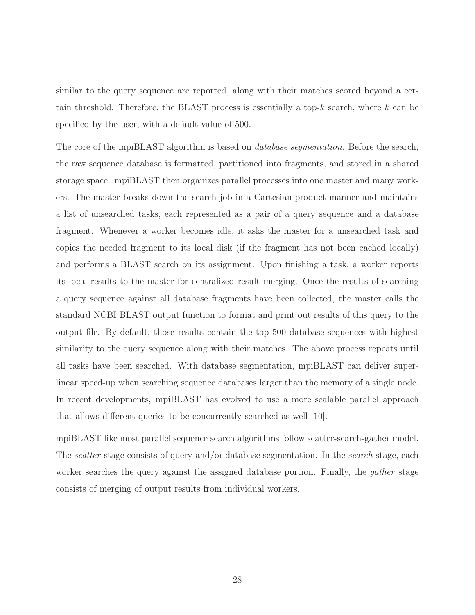similar to the query sequence are reported, along with their matches scored beyond a certain threshold. Therefore, the BLAST process is essentially a top- $k$  search, where  $k$  can be specified by the user, with a default value of 500.

The core of the mpiBLAST algorithm is based on *database segmentation*. Before the search, the raw sequence database is formatted, partitioned into fragments, and stored in a shared storage space. mpiBLAST then organizes parallel processes into one master and many workers. The master breaks down the search job in a Cartesian-product manner and maintains a list of unsearched tasks, each represented as a pair of a query sequence and a database fragment. Whenever a worker becomes idle, it asks the master for a unsearched task and copies the needed fragment to its local disk (if the fragment has not been cached locally) and performs a BLAST search on its assignment. Upon finishing a task, a worker reports its local results to the master for centralized result merging. Once the results of searching a query sequence against all database fragments have been collected, the master calls the standard NCBI BLAST output function to format and print out results of this query to the output file. By default, those results contain the top 500 database sequences with highest similarity to the query sequence along with their matches. The above process repeats until all tasks have been searched. With database segmentation, mpiBLAST can deliver superlinear speed-up when searching sequence databases larger than the memory of a single node. In recent developments, mpiBLAST has evolved to use a more scalable parallel approach that allows different queries to be concurrently searched as well [10].

mpiBLAST like most parallel sequence search algorithms follow scatter-search-gather model. The *scatter* stage consists of query and/or database segmentation. In the *search* stage, each worker searches the query against the assigned database portion. Finally, the *gather* stage consists of merging of output results from individual workers.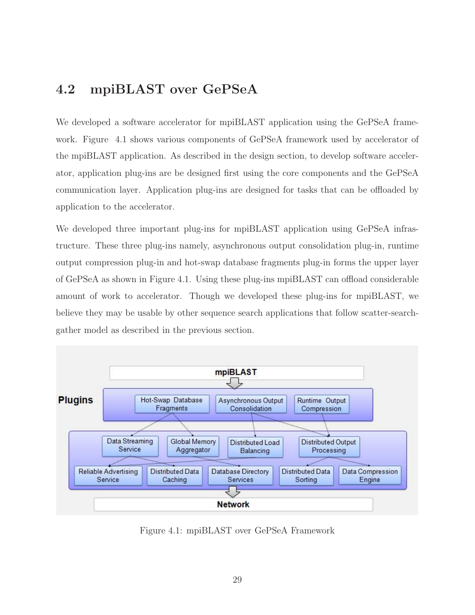### 4.2 mpiBLAST over GePSeA

We developed a software accelerator for mpiBLAST application using the GePSeA framework. Figure 4.1 shows various components of GePSeA framework used by accelerator of the mpiBLAST application. As described in the design section, to develop software accelerator, application plug-ins are be designed first using the core components and the GePSeA communication layer. Application plug-ins are designed for tasks that can be offloaded by application to the accelerator.

We developed three important plug-ins for mpiBLAST application using GePSeA infrastructure. These three plug-ins namely, asynchronous output consolidation plug-in, runtime output compression plug-in and hot-swap database fragments plug-in forms the upper layer of GePSeA as shown in Figure 4.1. Using these plug-ins mpiBLAST can offload considerable amount of work to accelerator. Though we developed these plug-ins for mpiBLAST, we believe they may be usable by other sequence search applications that follow scatter-searchgather model as described in the previous section.



Figure 4.1: mpiBLAST over GePSeA Framework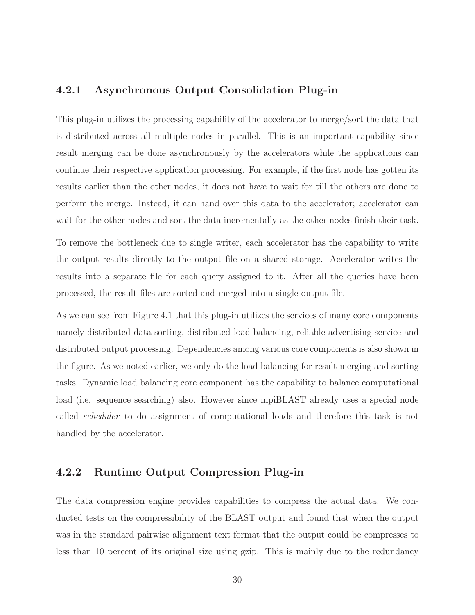#### 4.2.1 Asynchronous Output Consolidation Plug-in

This plug-in utilizes the processing capability of the accelerator to merge/sort the data that is distributed across all multiple nodes in parallel. This is an important capability since result merging can be done asynchronously by the accelerators while the applications can continue their respective application processing. For example, if the first node has gotten its results earlier than the other nodes, it does not have to wait for till the others are done to perform the merge. Instead, it can hand over this data to the accelerator; accelerator can wait for the other nodes and sort the data incrementally as the other nodes finish their task.

To remove the bottleneck due to single writer, each accelerator has the capability to write the output results directly to the output file on a shared storage. Accelerator writes the results into a separate file for each query assigned to it. After all the queries have been processed, the result files are sorted and merged into a single output file.

As we can see from Figure 4.1 that this plug-in utilizes the services of many core components namely distributed data sorting, distributed load balancing, reliable advertising service and distributed output processing. Dependencies among various core components is also shown in the figure. As we noted earlier, we only do the load balancing for result merging and sorting tasks. Dynamic load balancing core component has the capability to balance computational load (i.e. sequence searching) also. However since mpiBLAST already uses a special node called scheduler to do assignment of computational loads and therefore this task is not handled by the accelerator.

#### 4.2.2 Runtime Output Compression Plug-in

The data compression engine provides capabilities to compress the actual data. We conducted tests on the compressibility of the BLAST output and found that when the output was in the standard pairwise alignment text format that the output could be compresses to less than 10 percent of its original size using gzip. This is mainly due to the redundancy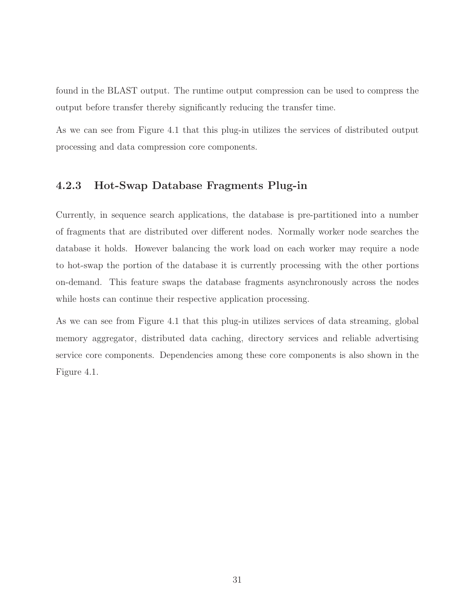found in the BLAST output. The runtime output compression can be used to compress the output before transfer thereby significantly reducing the transfer time.

As we can see from Figure 4.1 that this plug-in utilizes the services of distributed output processing and data compression core components.

#### 4.2.3 Hot-Swap Database Fragments Plug-in

Currently, in sequence search applications, the database is pre-partitioned into a number of fragments that are distributed over different nodes. Normally worker node searches the database it holds. However balancing the work load on each worker may require a node to hot-swap the portion of the database it is currently processing with the other portions on-demand. This feature swaps the database fragments asynchronously across the nodes while hosts can continue their respective application processing.

As we can see from Figure 4.1 that this plug-in utilizes services of data streaming, global memory aggregator, distributed data caching, directory services and reliable advertising service core components. Dependencies among these core components is also shown in the Figure 4.1.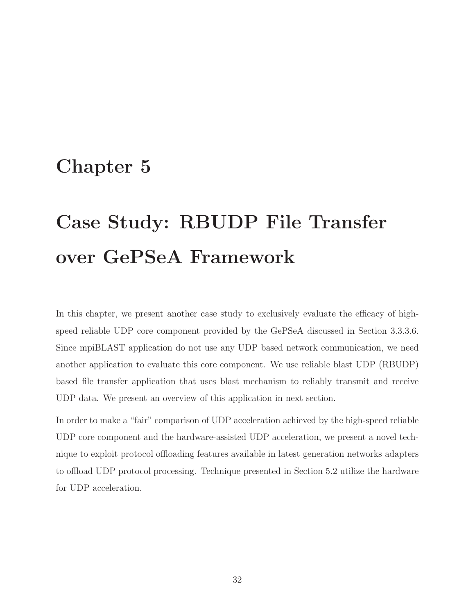## Chapter 5

# Case Study: RBUDP File Transfer over GePSeA Framework

In this chapter, we present another case study to exclusively evaluate the efficacy of highspeed reliable UDP core component provided by the GePSeA discussed in Section 3.3.3.6. Since mpiBLAST application do not use any UDP based network communication, we need another application to evaluate this core component. We use reliable blast UDP (RBUDP) based file transfer application that uses blast mechanism to reliably transmit and receive UDP data. We present an overview of this application in next section.

In order to make a "fair" comparison of UDP acceleration achieved by the high-speed reliable UDP core component and the hardware-assisted UDP acceleration, we present a novel technique to exploit protocol offloading features available in latest generation networks adapters to offload UDP protocol processing. Technique presented in Section 5.2 utilize the hardware for UDP acceleration.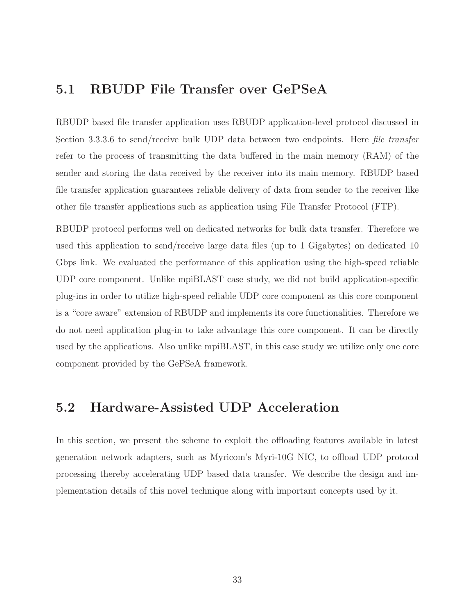### 5.1 RBUDP File Transfer over GePSeA

RBUDP based file transfer application uses RBUDP application-level protocol discussed in Section 3.3.3.6 to send/receive bulk UDP data between two endpoints. Here file transfer refer to the process of transmitting the data buffered in the main memory (RAM) of the sender and storing the data received by the receiver into its main memory. RBUDP based file transfer application guarantees reliable delivery of data from sender to the receiver like other file transfer applications such as application using File Transfer Protocol (FTP).

RBUDP protocol performs well on dedicated networks for bulk data transfer. Therefore we used this application to send/receive large data files (up to 1 Gigabytes) on dedicated 10 Gbps link. We evaluated the performance of this application using the high-speed reliable UDP core component. Unlike mpiBLAST case study, we did not build application-specific plug-ins in order to utilize high-speed reliable UDP core component as this core component is a "core aware" extension of RBUDP and implements its core functionalities. Therefore we do not need application plug-in to take advantage this core component. It can be directly used by the applications. Also unlike mpiBLAST, in this case study we utilize only one core component provided by the GePSeA framework.

### 5.2 Hardware-Assisted UDP Acceleration

In this section, we present the scheme to exploit the offloading features available in latest generation network adapters, such as Myricom's Myri-10G NIC, to offload UDP protocol processing thereby accelerating UDP based data transfer. We describe the design and implementation details of this novel technique along with important concepts used by it.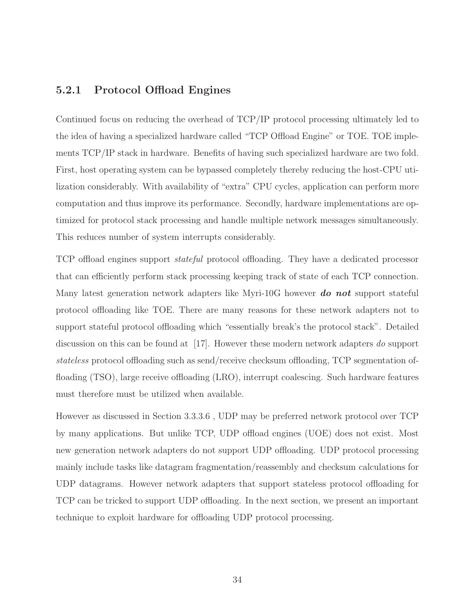#### 5.2.1 Protocol Offload Engines

Continued focus on reducing the overhead of TCP/IP protocol processing ultimately led to the idea of having a specialized hardware called "TCP Offload Engine" or TOE. TOE implements TCP/IP stack in hardware. Benefits of having such specialized hardware are two fold. First, host operating system can be bypassed completely thereby reducing the host-CPU utilization considerably. With availability of "extra" CPU cycles, application can perform more computation and thus improve its performance. Secondly, hardware implementations are optimized for protocol stack processing and handle multiple network messages simultaneously. This reduces number of system interrupts considerably.

TCP offload engines support stateful protocol offloading. They have a dedicated processor that can efficiently perform stack processing keeping track of state of each TCP connection. Many latest generation network adapters like Myri-10G however **do not** support stateful protocol offloading like TOE. There are many reasons for these network adapters not to support stateful protocol offloading which "essentially break's the protocol stack". Detailed discussion on this can be found at [17]. However these modern network adapters do support stateless protocol offloading such as send/receive checksum offloading, TCP segmentation offloading (TSO), large receive offloading (LRO), interrupt coalescing. Such hardware features must therefore must be utilized when available.

However as discussed in Section 3.3.3.6 , UDP may be preferred network protocol over TCP by many applications. But unlike TCP, UDP offload engines (UOE) does not exist. Most new generation network adapters do not support UDP offloading. UDP protocol processing mainly include tasks like datagram fragmentation/reassembly and checksum calculations for UDP datagrams. However network adapters that support stateless protocol offloading for TCP can be tricked to support UDP offloading. In the next section, we present an important technique to exploit hardware for offloading UDP protocol processing.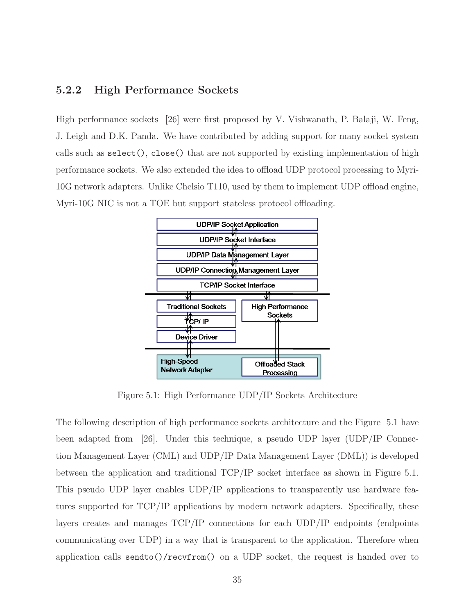#### 5.2.2 High Performance Sockets

High performance sockets [26] were first proposed by V. Vishwanath, P. Balaji, W. Feng, J. Leigh and D.K. Panda. We have contributed by adding support for many socket system calls such as select(), close() that are not supported by existing implementation of high performance sockets. We also extended the idea to offload UDP protocol processing to Myri-10G network adapters. Unlike Chelsio T110, used by them to implement UDP offload engine, Myri-10G NIC is not a TOE but support stateless protocol offloading.



Figure 5.1: High Performance UDP/IP Sockets Architecture

The following description of high performance sockets architecture and the Figure 5.1 have been adapted from [26]. Under this technique, a pseudo UDP layer (UDP/IP Connection Management Layer (CML) and UDP/IP Data Management Layer (DML)) is developed between the application and traditional TCP/IP socket interface as shown in Figure 5.1. This pseudo UDP layer enables UDP/IP applications to transparently use hardware features supported for TCP/IP applications by modern network adapters. Specifically, these layers creates and manages TCP/IP connections for each UDP/IP endpoints (endpoints communicating over UDP) in a way that is transparent to the application. Therefore when application calls sendto()/recvfrom() on a UDP socket, the request is handed over to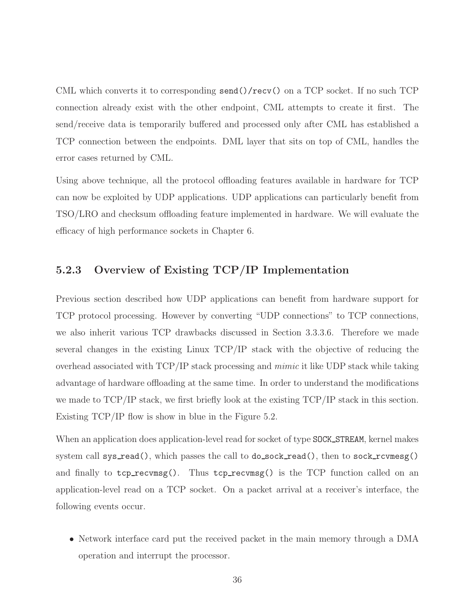CML which converts it to corresponding send()/recv() on a TCP socket. If no such TCP connection already exist with the other endpoint, CML attempts to create it first. The send/receive data is temporarily buffered and processed only after CML has established a TCP connection between the endpoints. DML layer that sits on top of CML, handles the error cases returned by CML.

Using above technique, all the protocol offloading features available in hardware for TCP can now be exploited by UDP applications. UDP applications can particularly benefit from TSO/LRO and checksum offloading feature implemented in hardware. We will evaluate the efficacy of high performance sockets in Chapter 6.

#### 5.2.3 Overview of Existing TCP/IP Implementation

Previous section described how UDP applications can benefit from hardware support for TCP protocol processing. However by converting "UDP connections" to TCP connections, we also inherit various TCP drawbacks discussed in Section 3.3.3.6. Therefore we made several changes in the existing Linux TCP/IP stack with the objective of reducing the overhead associated with TCP/IP stack processing and mimic it like UDP stack while taking advantage of hardware offloading at the same time. In order to understand the modifications we made to TCP/IP stack, we first briefly look at the existing TCP/IP stack in this section. Existing TCP/IP flow is show in blue in the Figure 5.2.

When an application does application-level read for socket of type SOCK STREAM, kernel makes system call sys\_read(), which passes the call to do\_sock\_read(), then to sock\_rcvmesg() and finally to  $\text{top\_recvmsg}()$ . Thus  $\text{top\_recvmsg}()$  is the TCP function called on an application-level read on a TCP socket. On a packet arrival at a receiver's interface, the following events occur.

• Network interface card put the received packet in the main memory through a DMA operation and interrupt the processor.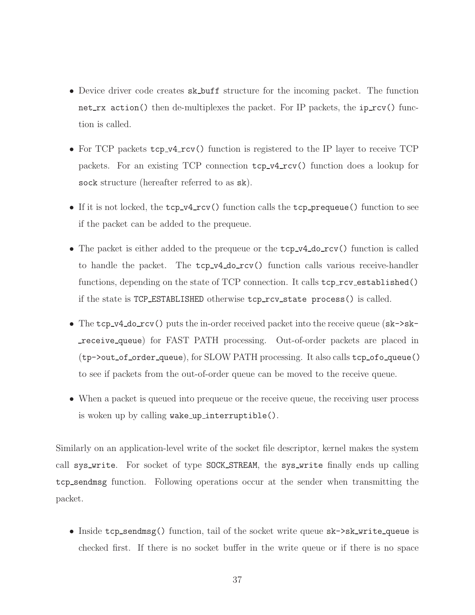- Device driver code creates sk\_buff structure for the incoming packet. The function net rx action() then de-multiplexes the packet. For IP packets, the ip rcv() function is called.
- For TCP packets  $\text{top_v4_rcv}()$  function is registered to the IP layer to receive TCP packets. For an existing TCP connection  $\text{top_v4_rcv}()$  function does a lookup for sock structure (hereafter referred to as sk).
- If it is not locked, the  $top_v4_rcv()$  function calls the  $top_v$ -prequeue() function to see if the packet can be added to the prequeue.
- The packet is either added to the prequeue or the  $\text{tcp\_v4_do\_rcv}$  function is called to handle the packet. The tcp v4 do rcv() function calls various receive-handler functions, depending on the state of TCP connection. It calls tcp\_rcv\_established() if the state is TCP\_ESTABLISHED otherwise tcp\_rcv\_state process() is called.
- The tcp\_v4\_do\_rcv() puts the in-order received packet into the receive queue (sk->skreceive queue) for FAST PATH processing. Out-of-order packets are placed in (tp->out of order queue), for SLOW PATH processing. It also calls tcp ofo queue() to see if packets from the out-of-order queue can be moved to the receive queue.
- When a packet is queued into prequeue or the receive queue, the receiving user process is woken up by calling wake up interruptible().

Similarly on an application-level write of the socket file descriptor, kernel makes the system call sys\_write. For socket of type SOCK\_STREAM, the sys\_write finally ends up calling tcp sendmsg function. Following operations occur at the sender when transmitting the packet.

• Inside tcp\_sendmsg() function, tail of the socket write queue sk->sk\_write\_queue is checked first. If there is no socket buffer in the write queue or if there is no space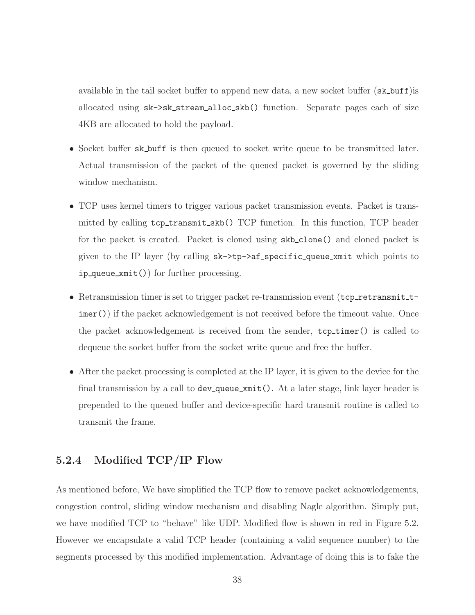available in the tail socket buffer to append new data, a new socket buffer (sk\_buff) is allocated using sk->sk stream alloc skb() function. Separate pages each of size 4KB are allocated to hold the payload.

- Socket buffer sk\_buff is then queued to socket write queue to be transmitted later. Actual transmission of the packet of the queued packet is governed by the sliding window mechanism.
- TCP uses kernel timers to trigger various packet transmission events. Packet is transmitted by calling  $\text{top}$  transmit\_skb() TCP function. In this function, TCP header for the packet is created. Packet is cloned using skb clone() and cloned packet is given to the IP layer (by calling  $sk$ ->tp->af\_specific\_queue\_xmit which points to ip queue xmit()) for further processing.
- Retransmission timer is set to trigger packet re-transmission event (tcp\_retransmit\_timer()) if the packet acknowledgement is not received before the timeout value. Once the packet acknowledgement is received from the sender, tcp timer() is called to dequeue the socket buffer from the socket write queue and free the buffer.
- After the packet processing is completed at the IP layer, it is given to the device for the final transmission by a call to dev\_queue\_xmit(). At a later stage, link layer header is prepended to the queued buffer and device-specific hard transmit routine is called to transmit the frame.

#### 5.2.4 Modified TCP/IP Flow

As mentioned before, We have simplified the TCP flow to remove packet acknowledgements, congestion control, sliding window mechanism and disabling Nagle algorithm. Simply put, we have modified TCP to "behave" like UDP. Modified flow is shown in red in Figure 5.2. However we encapsulate a valid TCP header (containing a valid sequence number) to the segments processed by this modified implementation. Advantage of doing this is to fake the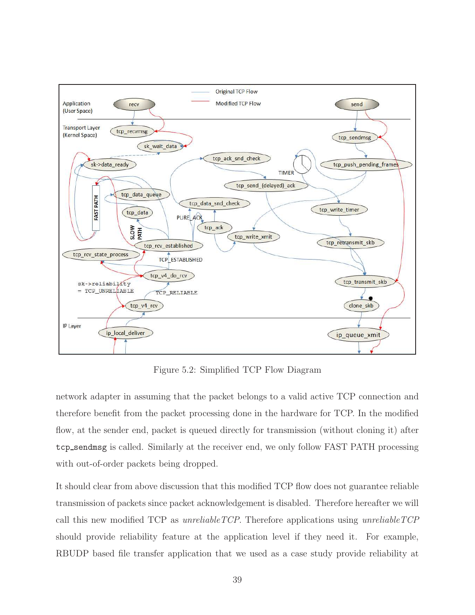

Figure 5.2: Simplified TCP Flow Diagram

network adapter in assuming that the packet belongs to a valid active TCP connection and therefore benefit from the packet processing done in the hardware for TCP. In the modified flow, at the sender end, packet is queued directly for transmission (without cloning it) after tcp sendmsg is called. Similarly at the receiver end, we only follow FAST PATH processing with out-of-order packets being dropped.

It should clear from above discussion that this modified TCP flow does not guarantee reliable transmission of packets since packet acknowledgement is disabled. Therefore hereafter we will call this new modified TCP as unreliable  $TCP$ . Therefore applications using unreliable  $TCP$ should provide reliability feature at the application level if they need it. For example, RBUDP based file transfer application that we used as a case study provide reliability at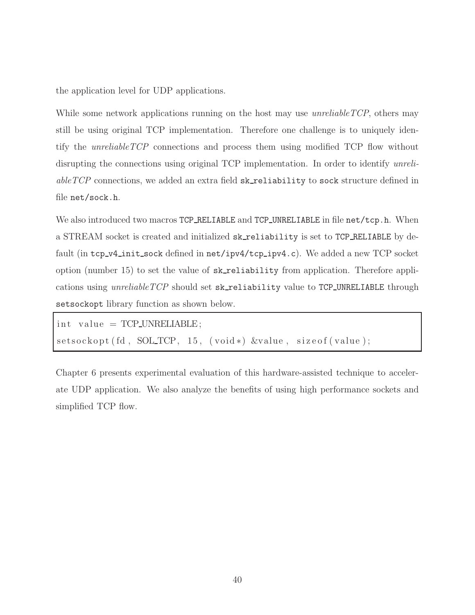the application level for UDP applications.

While some network applications running on the host may use *unreliableTCP*, others may still be using original TCP implementation. Therefore one challenge is to uniquely identify the unreliableTCP connections and process them using modified TCP flow without disrupting the connections using original TCP implementation. In order to identify unreli $able TCP$  connections, we added an extra field  $sk\_reliability$  to sock structure defined in file net/sock.h.

We also introduced two macros TCP\_RELIABLE and TCP\_UNRELIABLE in file net/tcp.h. When a STREAM socket is created and initialized sk\_reliability is set to TCP\_RELIABLE by default (in tcp\_v4\_init\_sock defined in net/ipv4/tcp\_ipv4.c). We added a new TCP socket option (number 15) to set the value of sk reliability from application. Therefore applications using  $unreliable TCP$  should set  $sk_reliability$  value to  $TCP\_UNRELIABLE$  through setsockopt library function as shown below.

```
int value = TCP\_UNRELIABLE;
setsockopt (fd, SOL TCP, 15, (void *) &value, size of (value);
```
Chapter 6 presents experimental evaluation of this hardware-assisted technique to accelerate UDP application. We also analyze the benefits of using high performance sockets and simplified TCP flow.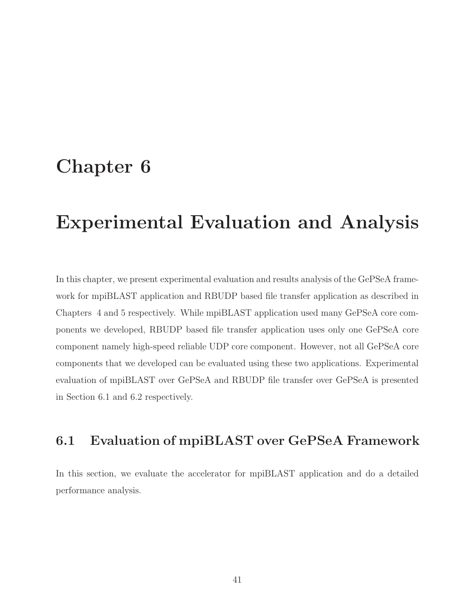## Chapter 6

# Experimental Evaluation and Analysis

In this chapter, we present experimental evaluation and results analysis of the GePSeA framework for mpiBLAST application and RBUDP based file transfer application as described in Chapters 4 and 5 respectively. While mpiBLAST application used many GePSeA core components we developed, RBUDP based file transfer application uses only one GePSeA core component namely high-speed reliable UDP core component. However, not all GePSeA core components that we developed can be evaluated using these two applications. Experimental evaluation of mpiBLAST over GePSeA and RBUDP file transfer over GePSeA is presented in Section 6.1 and 6.2 respectively.

### 6.1 Evaluation of mpiBLAST over GePSeA Framework

In this section, we evaluate the accelerator for mpiBLAST application and do a detailed performance analysis.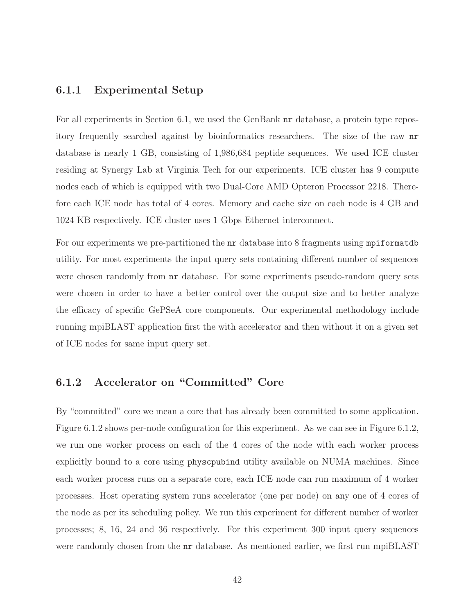#### 6.1.1 Experimental Setup

For all experiments in Section 6.1, we used the GenBank nr database, a protein type repository frequently searched against by bioinformatics researchers. The size of the raw nr database is nearly 1 GB, consisting of 1,986,684 peptide sequences. We used ICE cluster residing at Synergy Lab at Virginia Tech for our experiments. ICE cluster has 9 compute nodes each of which is equipped with two Dual-Core AMD Opteron Processor 2218. Therefore each ICE node has total of 4 cores. Memory and cache size on each node is 4 GB and 1024 KB respectively. ICE cluster uses 1 Gbps Ethernet interconnect.

For our experiments we pre-partitioned the  $nr$  database into 8 fragments using mpiformatdb utility. For most experiments the input query sets containing different number of sequences were chosen randomly from  $\pi r$  database. For some experiments pseudo-random query sets were chosen in order to have a better control over the output size and to better analyze the efficacy of specific GePSeA core components. Our experimental methodology include running mpiBLAST application first the with accelerator and then without it on a given set of ICE nodes for same input query set.

#### 6.1.2 Accelerator on "Committed" Core

By "committed" core we mean a core that has already been committed to some application. Figure 6.1.2 shows per-node configuration for this experiment. As we can see in Figure 6.1.2, we run one worker process on each of the 4 cores of the node with each worker process explicitly bound to a core using physcpubind utility available on NUMA machines. Since each worker process runs on a separate core, each ICE node can run maximum of 4 worker processes. Host operating system runs accelerator (one per node) on any one of 4 cores of the node as per its scheduling policy. We run this experiment for different number of worker processes; 8, 16, 24 and 36 respectively. For this experiment 300 input query sequences were randomly chosen from the  $nr$  database. As mentioned earlier, we first run mpiBLAST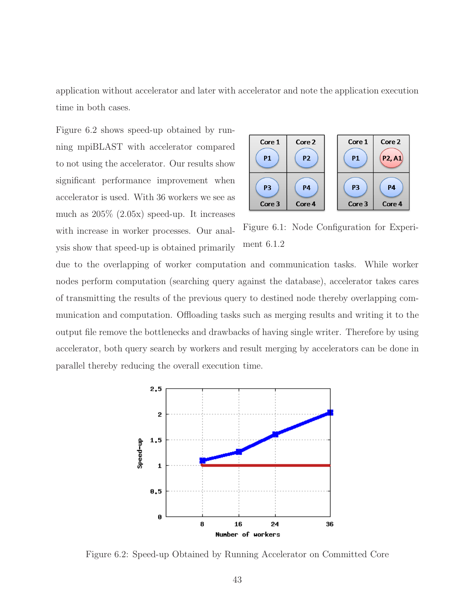application without accelerator and later with accelerator and note the application execution time in both cases.

Figure 6.2 shows speed-up obtained by running mpiBLAST with accelerator compared to not using the accelerator. Our results show significant performance improvement when accelerator is used. With 36 workers we see as much as 205% (2.05x) speed-up. It increases with increase in worker processes. Our analysis show that speed-up is obtained primarily



Figure 6.1: Node Configuration for Experiment 6.1.2

due to the overlapping of worker computation and communication tasks. While worker nodes perform computation (searching query against the database), accelerator takes cares of transmitting the results of the previous query to destined node thereby overlapping communication and computation. Offloading tasks such as merging results and writing it to the output file remove the bottlenecks and drawbacks of having single writer. Therefore by using accelerator, both query search by workers and result merging by accelerators can be done in parallel thereby reducing the overall execution time.



Figure 6.2: Speed-up Obtained by Running Accelerator on Committed Core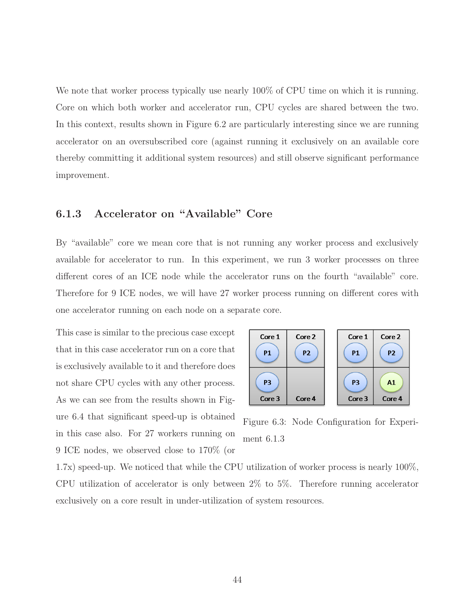We note that worker process typically use nearly  $100\%$  of CPU time on which it is running. Core on which both worker and accelerator run, CPU cycles are shared between the two. In this context, results shown in Figure 6.2 are particularly interesting since we are running accelerator on an oversubscribed core (against running it exclusively on an available core thereby committing it additional system resources) and still observe significant performance improvement.

#### 6.1.3 Accelerator on "Available" Core

By "available" core we mean core that is not running any worker process and exclusively available for accelerator to run. In this experiment, we run 3 worker processes on three different cores of an ICE node while the accelerator runs on the fourth "available" core. Therefore for 9 ICE nodes, we will have 27 worker process running on different cores with one accelerator running on each node on a separate core.

This case is similar to the precious case except that in this case accelerator run on a core that is exclusively available to it and therefore does not share CPU cycles with any other process. As we can see from the results shown in Figure 6.4 that significant speed-up is obtained in this case also. For 27 workers running on 9 ICE nodes, we observed close to 170% (or



Figure 6.3: Node Configuration for Experiment 6.1.3

1.7x) speed-up. We noticed that while the CPU utilization of worker process is nearly 100%, CPU utilization of accelerator is only between 2% to 5%. Therefore running accelerator exclusively on a core result in under-utilization of system resources.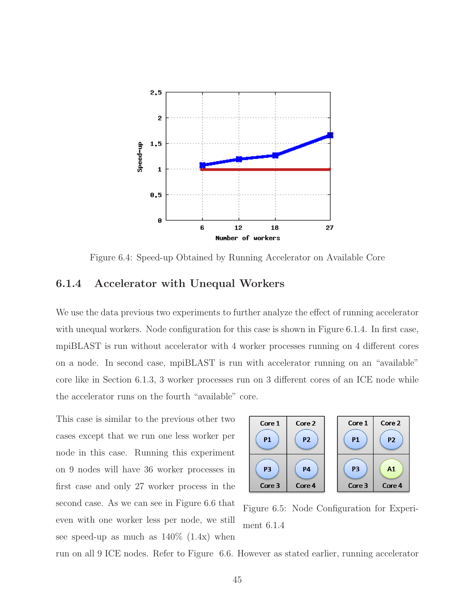

Figure 6.4: Speed-up Obtained by Running Accelerator on Available Core

#### 6.1.4 Accelerator with Unequal Workers

We use the data previous two experiments to further analyze the effect of running accelerator with unequal workers. Node configuration for this case is shown in Figure 6.1.4. In first case, mpiBLAST is run without accelerator with 4 worker processes running on 4 different cores on a node. In second case, mpiBLAST is run with accelerator running on an "available" core like in Section 6.1.3, 3 worker processes run on 3 different cores of an ICE node while the accelerator runs on the fourth "available" core.

This case is similar to the previous other two cases except that we run one less worker per node in this case. Running this experiment on 9 nodes will have 36 worker processes in first case and only 27 worker process in the second case. As we can see in Figure 6.6 that even with one worker less per node, we still see speed-up as much as  $140\%$  (1.4x) when



Figure 6.5: Node Configuration for Experiment 6.1.4

run on all 9 ICE nodes. Refer to Figure 6.6. However as stated earlier, running accelerator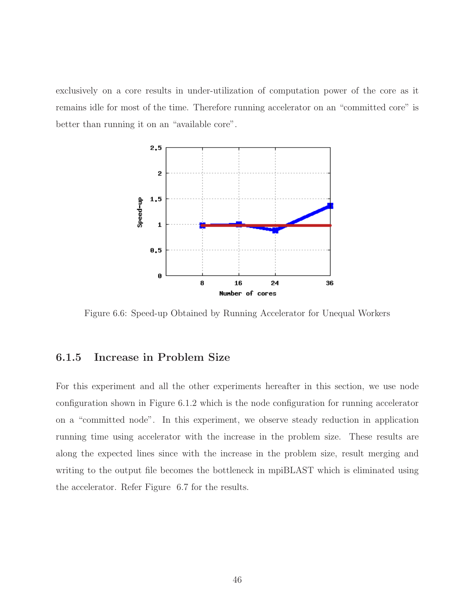exclusively on a core results in under-utilization of computation power of the core as it remains idle for most of the time. Therefore running accelerator on an "committed core" is better than running it on an "available core".



Figure 6.6: Speed-up Obtained by Running Accelerator for Unequal Workers

#### 6.1.5 Increase in Problem Size

For this experiment and all the other experiments hereafter in this section, we use node configuration shown in Figure 6.1.2 which is the node configuration for running accelerator on a "committed node". In this experiment, we observe steady reduction in application running time using accelerator with the increase in the problem size. These results are along the expected lines since with the increase in the problem size, result merging and writing to the output file becomes the bottleneck in mpiBLAST which is eliminated using the accelerator. Refer Figure 6.7 for the results.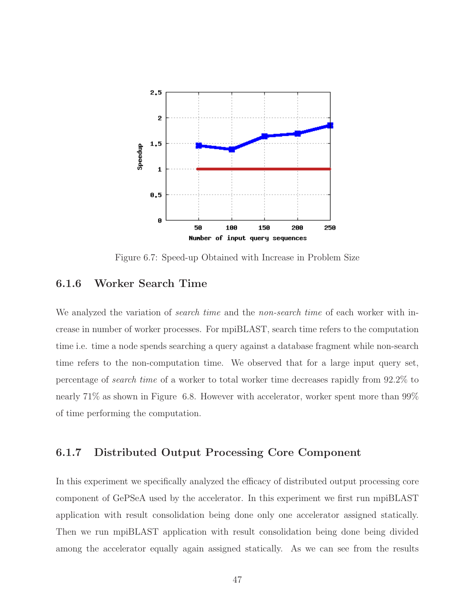

Figure 6.7: Speed-up Obtained with Increase in Problem Size

#### 6.1.6 Worker Search Time

We analyzed the variation of *search time* and the *non-search time* of each worker with increase in number of worker processes. For mpiBLAST, search time refers to the computation time i.e. time a node spends searching a query against a database fragment while non-search time refers to the non-computation time. We observed that for a large input query set, percentage of search time of a worker to total worker time decreases rapidly from 92.2% to nearly 71% as shown in Figure 6.8. However with accelerator, worker spent more than 99% of time performing the computation.

#### 6.1.7 Distributed Output Processing Core Component

In this experiment we specifically analyzed the efficacy of distributed output processing core component of GePSeA used by the accelerator. In this experiment we first run mpiBLAST application with result consolidation being done only one accelerator assigned statically. Then we run mpiBLAST application with result consolidation being done being divided among the accelerator equally again assigned statically. As we can see from the results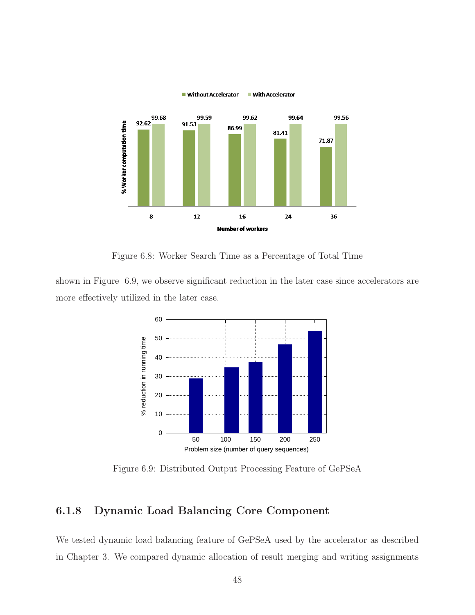

Figure 6.8: Worker Search Time as a Percentage of Total Time

shown in Figure 6.9, we observe significant reduction in the later case since accelerators are more effectively utilized in the later case.



Figure 6.9: Distributed Output Processing Feature of GePSeA

#### 6.1.8 Dynamic Load Balancing Core Component

We tested dynamic load balancing feature of GePSeA used by the accelerator as described in Chapter 3. We compared dynamic allocation of result merging and writing assignments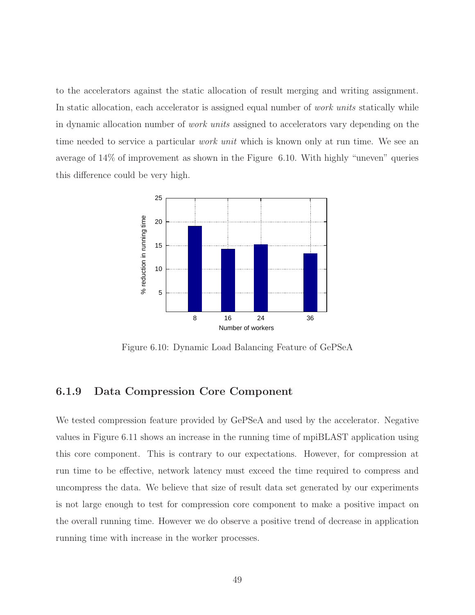to the accelerators against the static allocation of result merging and writing assignment. In static allocation, each accelerator is assigned equal number of *work units* statically while in dynamic allocation number of work units assigned to accelerators vary depending on the time needed to service a particular *work unit* which is known only at run time. We see an average of 14% of improvement as shown in the Figure 6.10. With highly "uneven" queries this difference could be very high.



Figure 6.10: Dynamic Load Balancing Feature of GePSeA

#### 6.1.9 Data Compression Core Component

We tested compression feature provided by GePSeA and used by the accelerator. Negative values in Figure 6.11 shows an increase in the running time of mpiBLAST application using this core component. This is contrary to our expectations. However, for compression at run time to be effective, network latency must exceed the time required to compress and uncompress the data. We believe that size of result data set generated by our experiments is not large enough to test for compression core component to make a positive impact on the overall running time. However we do observe a positive trend of decrease in application running time with increase in the worker processes.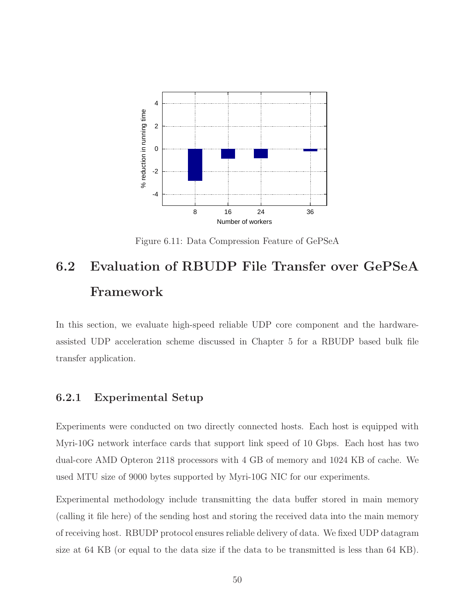

Figure 6.11: Data Compression Feature of GePSeA

# 6.2 Evaluation of RBUDP File Transfer over GePSeA Framework

In this section, we evaluate high-speed reliable UDP core component and the hardwareassisted UDP acceleration scheme discussed in Chapter 5 for a RBUDP based bulk file transfer application.

#### 6.2.1 Experimental Setup

Experiments were conducted on two directly connected hosts. Each host is equipped with Myri-10G network interface cards that support link speed of 10 Gbps. Each host has two dual-core AMD Opteron 2118 processors with 4 GB of memory and 1024 KB of cache. We used MTU size of 9000 bytes supported by Myri-10G NIC for our experiments.

Experimental methodology include transmitting the data buffer stored in main memory (calling it file here) of the sending host and storing the received data into the main memory of receiving host. RBUDP protocol ensures reliable delivery of data. We fixed UDP datagram size at 64 KB (or equal to the data size if the data to be transmitted is less than 64 KB).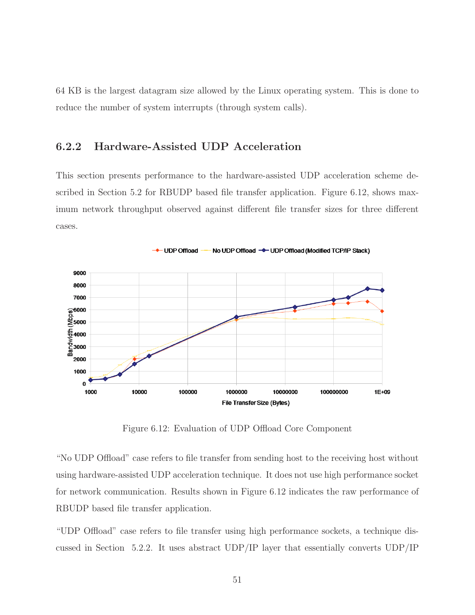64 KB is the largest datagram size allowed by the Linux operating system. This is done to reduce the number of system interrupts (through system calls).

#### 6.2.2 Hardware-Assisted UDP Acceleration

This section presents performance to the hardware-assisted UDP acceleration scheme described in Section 5.2 for RBUDP based file transfer application. Figure 6.12, shows maximum network throughput observed against different file transfer sizes for three different cases.



Figure 6.12: Evaluation of UDP Offload Core Component

"No UDP Offload" case refers to file transfer from sending host to the receiving host without using hardware-assisted UDP acceleration technique. It does not use high performance socket for network communication. Results shown in Figure 6.12 indicates the raw performance of RBUDP based file transfer application.

"UDP Offload" case refers to file transfer using high performance sockets, a technique discussed in Section 5.2.2. It uses abstract UDP/IP layer that essentially converts UDP/IP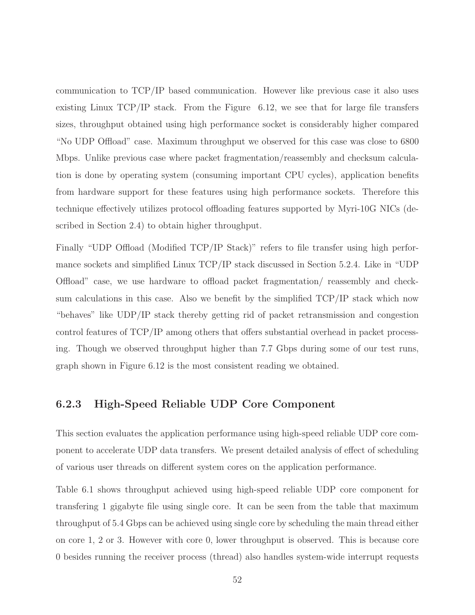communication to TCP/IP based communication. However like previous case it also uses existing Linux  $\text{TCP/IP stack.}$  From the Figure 6.12, we see that for large file transfers sizes, throughput obtained using high performance socket is considerably higher compared "No UDP Offload" case. Maximum throughput we observed for this case was close to 6800 Mbps. Unlike previous case where packet fragmentation/reassembly and checksum calculation is done by operating system (consuming important CPU cycles), application benefits from hardware support for these features using high performance sockets. Therefore this technique effectively utilizes protocol offloading features supported by Myri-10G NICs (described in Section 2.4) to obtain higher throughput.

Finally "UDP Offload (Modified TCP/IP Stack)" refers to file transfer using high performance sockets and simplified Linux TCP/IP stack discussed in Section 5.2.4. Like in "UDP Offload" case, we use hardware to offload packet fragmentation/ reassembly and checksum calculations in this case. Also we benefit by the simplified TCP/IP stack which now "behaves" like UDP/IP stack thereby getting rid of packet retransmission and congestion control features of TCP/IP among others that offers substantial overhead in packet processing. Though we observed throughput higher than 7.7 Gbps during some of our test runs, graph shown in Figure 6.12 is the most consistent reading we obtained.

#### 6.2.3 High-Speed Reliable UDP Core Component

This section evaluates the application performance using high-speed reliable UDP core component to accelerate UDP data transfers. We present detailed analysis of effect of scheduling of various user threads on different system cores on the application performance.

Table 6.1 shows throughput achieved using high-speed reliable UDP core component for transfering 1 gigabyte file using single core. It can be seen from the table that maximum throughput of 5.4 Gbps can be achieved using single core by scheduling the main thread either on core 1, 2 or 3. However with core 0, lower throughput is observed. This is because core 0 besides running the receiver process (thread) also handles system-wide interrupt requests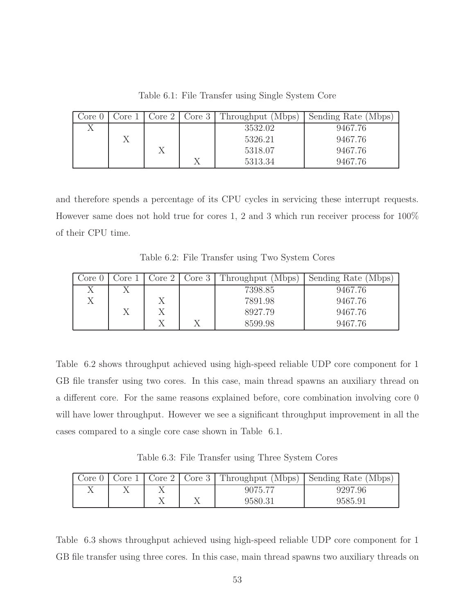Table 6.1: File Transfer using Single System Core

| Core ( | Jore 1 | Core <sub>2</sub> | Core 3 | Throughput (Mbps) | Sending Rate (Mbps) |
|--------|--------|-------------------|--------|-------------------|---------------------|
|        |        |                   |        | 3532.02           | 9467.76             |
|        |        |                   |        | 5326.21           | 9467.76             |
|        |        | А                 |        | 5318.07           | 9467.76             |
|        |        |                   |        | 5313.34           | 9467.76             |

and therefore spends a percentage of its CPU cycles in servicing these interrupt requests. However same does not hold true for cores 1, 2 and 3 which run receiver process for 100% of their CPU time.

Table 6.2: File Transfer using Two System Cores

| Core ( | Jore 1 | Core <sub>2</sub> | Core 3 | Throughput (Mbps) | Sending Rate (Mbps) |
|--------|--------|-------------------|--------|-------------------|---------------------|
|        |        |                   |        | 7398.85           | 9467.76             |
|        |        |                   |        | 7891.98           | 9467.76             |
|        | А      | А                 |        | 8927.79           | 9467.76             |
|        |        |                   |        | 8599.98           | 9467.76             |

Table 6.2 shows throughput achieved using high-speed reliable UDP core component for 1 GB file transfer using two cores. In this case, main thread spawns an auxiliary thread on a different core. For the same reasons explained before, core combination involving core 0 will have lower throughput. However we see a significant throughput improvement in all the cases compared to a single core case shown in Table 6.1.

Table 6.3: File Transfer using Three System Cores

|  |  |         | Core 0   Core 1   Core 2   Core 3   Throughput (Mbps)   Sending Rate (Mbps) |
|--|--|---------|-----------------------------------------------------------------------------|
|  |  | 9075.77 | 9297.96                                                                     |
|  |  | 9580.31 | 9585.91                                                                     |

Table 6.3 shows throughput achieved using high-speed reliable UDP core component for 1 GB file transfer using three cores. In this case, main thread spawns two auxiliary threads on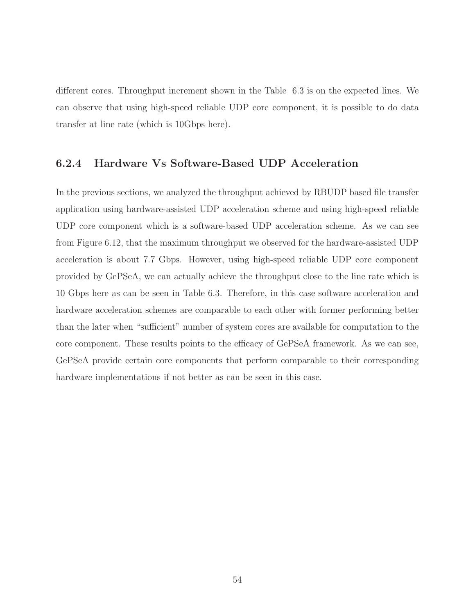different cores. Throughput increment shown in the Table 6.3 is on the expected lines. We can observe that using high-speed reliable UDP core component, it is possible to do data transfer at line rate (which is 10Gbps here).

#### 6.2.4 Hardware Vs Software-Based UDP Acceleration

In the previous sections, we analyzed the throughput achieved by RBUDP based file transfer application using hardware-assisted UDP acceleration scheme and using high-speed reliable UDP core component which is a software-based UDP acceleration scheme. As we can see from Figure 6.12, that the maximum throughput we observed for the hardware-assisted UDP acceleration is about 7.7 Gbps. However, using high-speed reliable UDP core component provided by GePSeA, we can actually achieve the throughput close to the line rate which is 10 Gbps here as can be seen in Table 6.3. Therefore, in this case software acceleration and hardware acceleration schemes are comparable to each other with former performing better than the later when "sufficient" number of system cores are available for computation to the core component. These results points to the efficacy of GePSeA framework. As we can see, GePSeA provide certain core components that perform comparable to their corresponding hardware implementations if not better as can be seen in this case.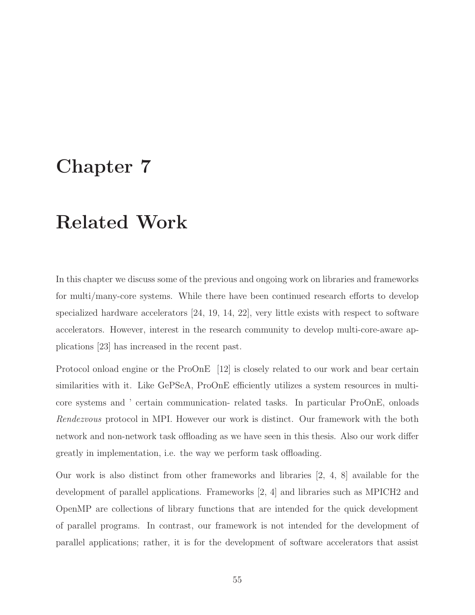## Chapter 7

# Related Work

In this chapter we discuss some of the previous and ongoing work on libraries and frameworks for multi/many-core systems. While there have been continued research efforts to develop specialized hardware accelerators [24, 19, 14, 22], very little exists with respect to software accelerators. However, interest in the research community to develop multi-core-aware applications [23] has increased in the recent past.

Protocol onload engine or the ProOnE [12] is closely related to our work and bear certain similarities with it. Like GePSeA, ProOnE efficiently utilizes a system resources in multicore systems and ' certain communication- related tasks. In particular ProOnE, onloads Rendezvous protocol in MPI. However our work is distinct. Our framework with the both network and non-network task offloading as we have seen in this thesis. Also our work differ greatly in implementation, i.e. the way we perform task offloading.

Our work is also distinct from other frameworks and libraries [2, 4, 8] available for the development of parallel applications. Frameworks [2, 4] and libraries such as MPICH2 and OpenMP are collections of library functions that are intended for the quick development of parallel programs. In contrast, our framework is not intended for the development of parallel applications; rather, it is for the development of software accelerators that assist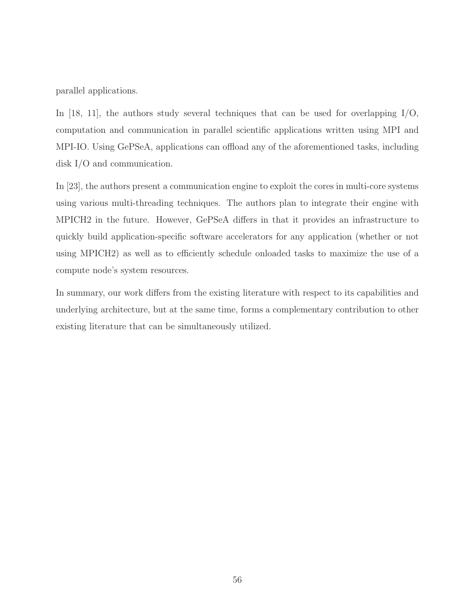parallel applications.

In [18, 11], the authors study several techniques that can be used for overlapping I/O, computation and communication in parallel scientific applications written using MPI and MPI-IO. Using GePSeA, applications can offload any of the aforementioned tasks, including disk I/O and communication.

In [23], the authors present a communication engine to exploit the cores in multi-core systems using various multi-threading techniques. The authors plan to integrate their engine with MPICH2 in the future. However, GePSeA differs in that it provides an infrastructure to quickly build application-specific software accelerators for any application (whether or not using MPICH2) as well as to efficiently schedule onloaded tasks to maximize the use of a compute node's system resources.

In summary, our work differs from the existing literature with respect to its capabilities and underlying architecture, but at the same time, forms a complementary contribution to other existing literature that can be simultaneously utilized.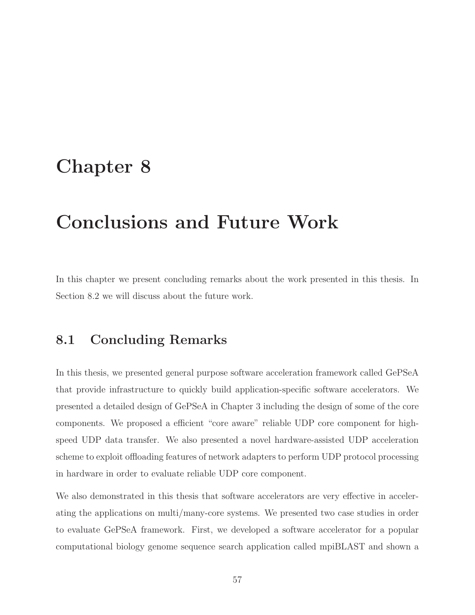## Chapter 8

# Conclusions and Future Work

In this chapter we present concluding remarks about the work presented in this thesis. In Section 8.2 we will discuss about the future work.

### 8.1 Concluding Remarks

In this thesis, we presented general purpose software acceleration framework called GePSeA that provide infrastructure to quickly build application-specific software accelerators. We presented a detailed design of GePSeA in Chapter 3 including the design of some of the core components. We proposed a efficient "core aware" reliable UDP core component for highspeed UDP data transfer. We also presented a novel hardware-assisted UDP acceleration scheme to exploit offloading features of network adapters to perform UDP protocol processing in hardware in order to evaluate reliable UDP core component.

We also demonstrated in this thesis that software accelerators are very effective in accelerating the applications on multi/many-core systems. We presented two case studies in order to evaluate GePSeA framework. First, we developed a software accelerator for a popular computational biology genome sequence search application called mpiBLAST and shown a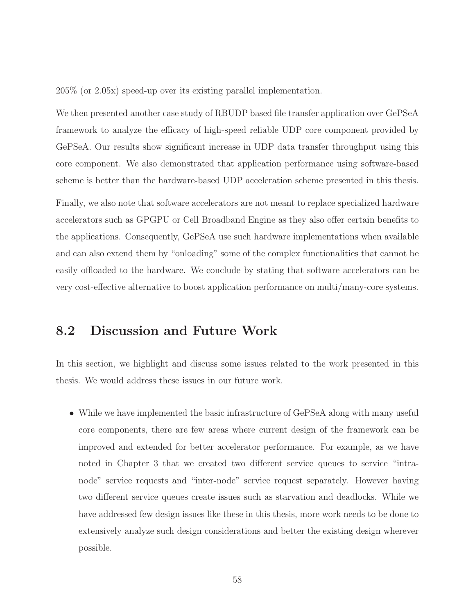205% (or 2.05x) speed-up over its existing parallel implementation.

We then presented another case study of RBUDP based file transfer application over GePSeA framework to analyze the efficacy of high-speed reliable UDP core component provided by GePSeA. Our results show significant increase in UDP data transfer throughput using this core component. We also demonstrated that application performance using software-based scheme is better than the hardware-based UDP acceleration scheme presented in this thesis.

Finally, we also note that software accelerators are not meant to replace specialized hardware accelerators such as GPGPU or Cell Broadband Engine as they also offer certain benefits to the applications. Consequently, GePSeA use such hardware implementations when available and can also extend them by "onloading" some of the complex functionalities that cannot be easily offloaded to the hardware. We conclude by stating that software accelerators can be very cost-effective alternative to boost application performance on multi/many-core systems.

### 8.2 Discussion and Future Work

In this section, we highlight and discuss some issues related to the work presented in this thesis. We would address these issues in our future work.

• While we have implemented the basic infrastructure of GePSeA along with many useful core components, there are few areas where current design of the framework can be improved and extended for better accelerator performance. For example, as we have noted in Chapter 3 that we created two different service queues to service "intranode" service requests and "inter-node" service request separately. However having two different service queues create issues such as starvation and deadlocks. While we have addressed few design issues like these in this thesis, more work needs to be done to extensively analyze such design considerations and better the existing design wherever possible.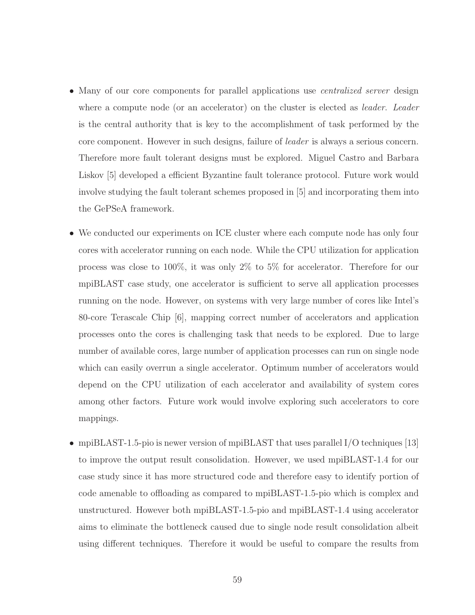- Many of our core components for parallel applications use *centralized server* design where a compute node (or an accelerator) on the cluster is elected as *leader.* Leader is the central authority that is key to the accomplishment of task performed by the core component. However in such designs, failure of leader is always a serious concern. Therefore more fault tolerant designs must be explored. Miguel Castro and Barbara Liskov [5] developed a efficient Byzantine fault tolerance protocol. Future work would involve studying the fault tolerant schemes proposed in [5] and incorporating them into the GePSeA framework.
- We conducted our experiments on ICE cluster where each compute node has only four cores with accelerator running on each node. While the CPU utilization for application process was close to 100%, it was only 2% to 5% for accelerator. Therefore for our mpiBLAST case study, one accelerator is sufficient to serve all application processes running on the node. However, on systems with very large number of cores like Intel's 80-core Terascale Chip [6], mapping correct number of accelerators and application processes onto the cores is challenging task that needs to be explored. Due to large number of available cores, large number of application processes can run on single node which can easily overrun a single accelerator. Optimum number of accelerators would depend on the CPU utilization of each accelerator and availability of system cores among other factors. Future work would involve exploring such accelerators to core mappings.
- mpiBLAST-1.5-pio is newer version of mpiBLAST that uses parallel I/O techniques [13] to improve the output result consolidation. However, we used mpiBLAST-1.4 for our case study since it has more structured code and therefore easy to identify portion of code amenable to offloading as compared to mpiBLAST-1.5-pio which is complex and unstructured. However both mpiBLAST-1.5-pio and mpiBLAST-1.4 using accelerator aims to eliminate the bottleneck caused due to single node result consolidation albeit using different techniques. Therefore it would be useful to compare the results from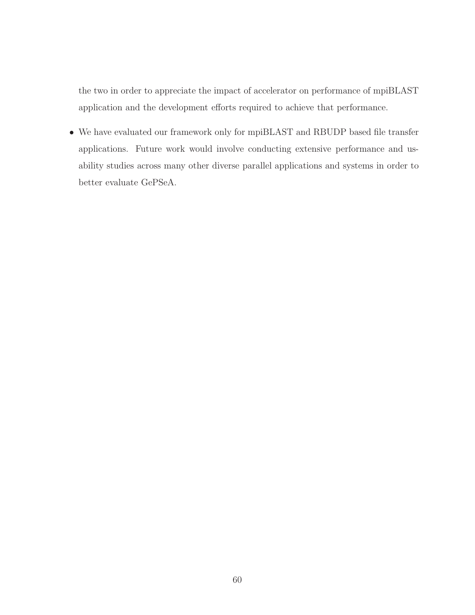the two in order to appreciate the impact of accelerator on performance of mpiBLAST application and the development efforts required to achieve that performance.

• We have evaluated our framework only for mpiBLAST and RBUDP based file transfer applications. Future work would involve conducting extensive performance and usability studies across many other diverse parallel applications and systems in order to better evaluate GePSeA.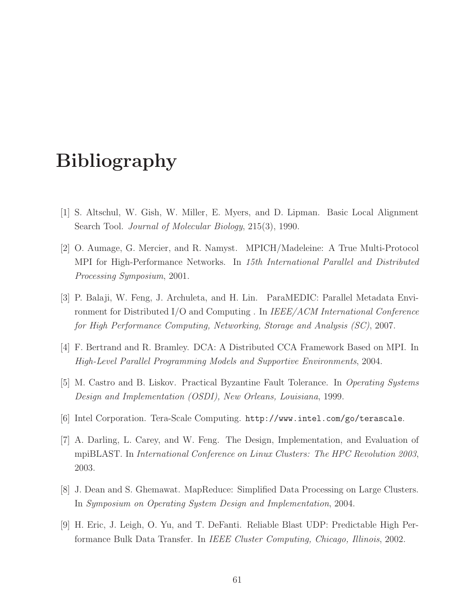# Bibliography

- [1] S. Altschul, W. Gish, W. Miller, E. Myers, and D. Lipman. Basic Local Alignment Search Tool. Journal of Molecular Biology, 215(3), 1990.
- [2] O. Aumage, G. Mercier, and R. Namyst. MPICH/Madeleine: A True Multi-Protocol MPI for High-Performance Networks. In 15th International Parallel and Distributed Processing Symposium, 2001.
- [3] P. Balaji, W. Feng, J. Archuleta, and H. Lin. ParaMEDIC: Parallel Metadata Environment for Distributed I/O and Computing . In IEEE/ACM International Conference for High Performance Computing, Networking, Storage and Analysis (SC), 2007.
- [4] F. Bertrand and R. Bramley. DCA: A Distributed CCA Framework Based on MPI. In High-Level Parallel Programming Models and Supportive Environments, 2004.
- [5] M. Castro and B. Liskov. Practical Byzantine Fault Tolerance. In Operating Systems Design and Implementation (OSDI), New Orleans, Louisiana, 1999.
- [6] Intel Corporation. Tera-Scale Computing. http://www.intel.com/go/terascale.
- [7] A. Darling, L. Carey, and W. Feng. The Design, Implementation, and Evaluation of mpiBLAST. In International Conference on Linux Clusters: The HPC Revolution 2003, 2003.
- [8] J. Dean and S. Ghemawat. MapReduce: Simplified Data Processing on Large Clusters. In Symposium on Operating System Design and Implementation, 2004.
- [9] H. Eric, J. Leigh, O. Yu, and T. DeFanti. Reliable Blast UDP: Predictable High Performance Bulk Data Transfer. In IEEE Cluster Computing, Chicago, Illinois, 2002.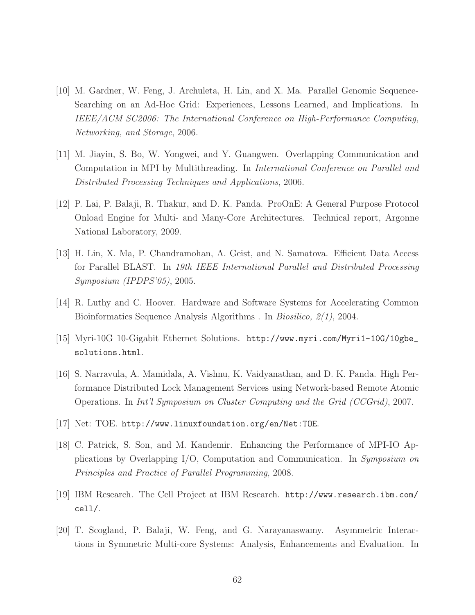- [10] M. Gardner, W. Feng, J. Archuleta, H. Lin, and X. Ma. Parallel Genomic Sequence-Searching on an Ad-Hoc Grid: Experiences, Lessons Learned, and Implications. In IEEE/ACM SC2006: The International Conference on High-Performance Computing, Networking, and Storage, 2006.
- [11] M. Jiayin, S. Bo, W. Yongwei, and Y. Guangwen. Overlapping Communication and Computation in MPI by Multithreading. In International Conference on Parallel and Distributed Processing Techniques and Applications, 2006.
- [12] P. Lai, P. Balaji, R. Thakur, and D. K. Panda. ProOnE: A General Purpose Protocol Onload Engine for Multi- and Many-Core Architectures. Technical report, Argonne National Laboratory, 2009.
- [13] H. Lin, X. Ma, P. Chandramohan, A. Geist, and N. Samatova. Efficient Data Access for Parallel BLAST. In 19th IEEE International Parallel and Distributed Processing Symposium (IPDPS'05), 2005.
- [14] R. Luthy and C. Hoover. Hardware and Software Systems for Accelerating Common Bioinformatics Sequence Analysis Algorithms . In Biosilico, 2(1), 2004.
- [15] Myri-10G 10-Gigabit Ethernet Solutions. http://www.myri.com/Myri1-10G/10gbe\_ solutions.html.
- [16] S. Narravula, A. Mamidala, A. Vishnu, K. Vaidyanathan, and D. K. Panda. High Performance Distributed Lock Management Services using Network-based Remote Atomic Operations. In Int'l Symposium on Cluster Computing and the Grid (CCGrid), 2007.
- [17] Net: TOE. http://www.linuxfoundation.org/en/Net:TOE.
- [18] C. Patrick, S. Son, and M. Kandemir. Enhancing the Performance of MPI-IO Applications by Overlapping I/O, Computation and Communication. In Symposium on Principles and Practice of Parallel Programming, 2008.
- [19] IBM Research. The Cell Project at IBM Research. http://www.research.ibm.com/ cell/.
- [20] T. Scogland, P. Balaji, W. Feng, and G. Narayanaswamy. Asymmetric Interactions in Symmetric Multi-core Systems: Analysis, Enhancements and Evaluation. In